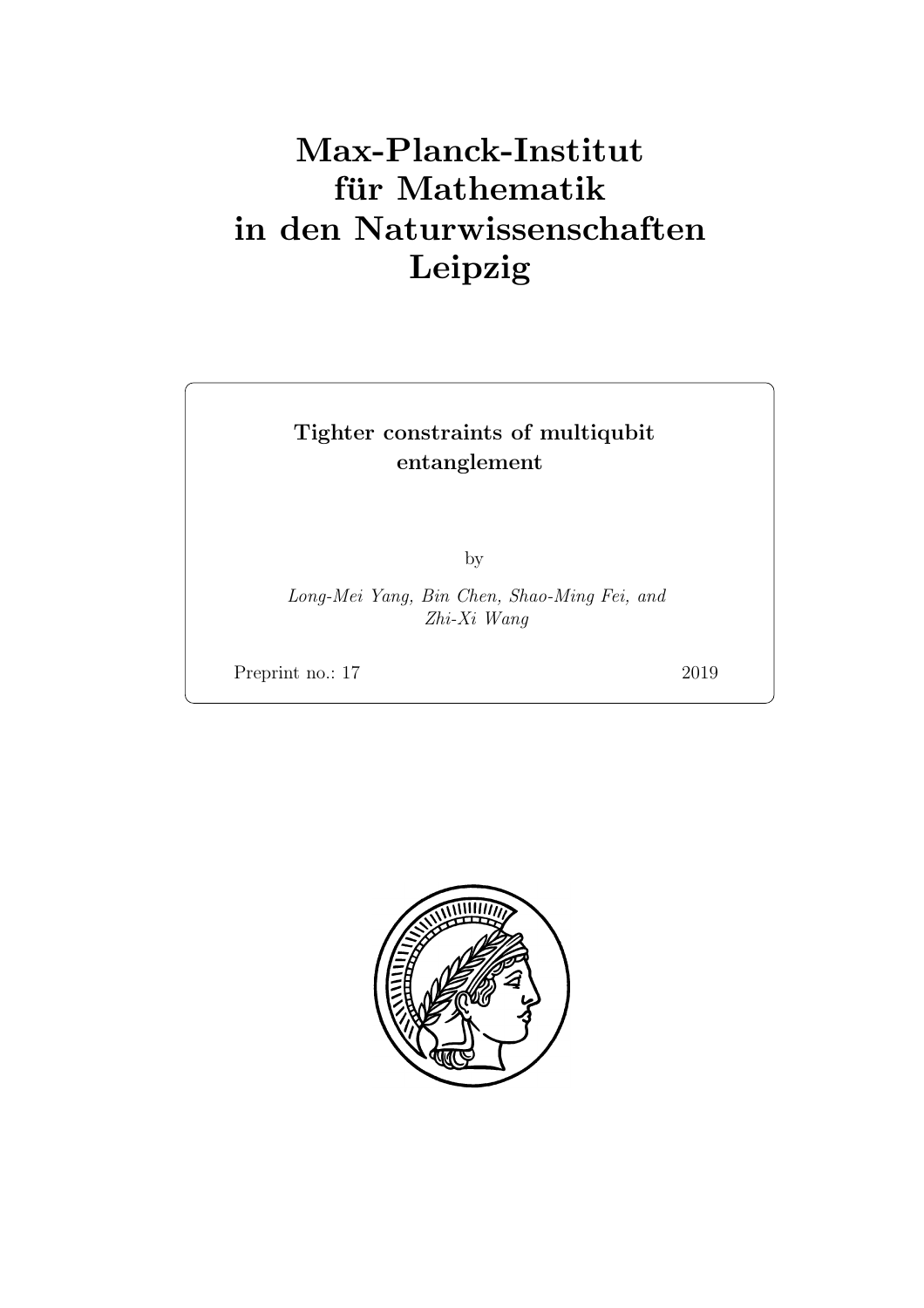# Max-Planck-Institut für Mathematik in den Naturwissenschaften Leipzig

# Tighter constraints of multiqubit entanglement

by

Long-Mei Yang, Bin Chen, Shao-Ming Fei, and Zhi-Xi Wang

Preprint no.: 17 2019

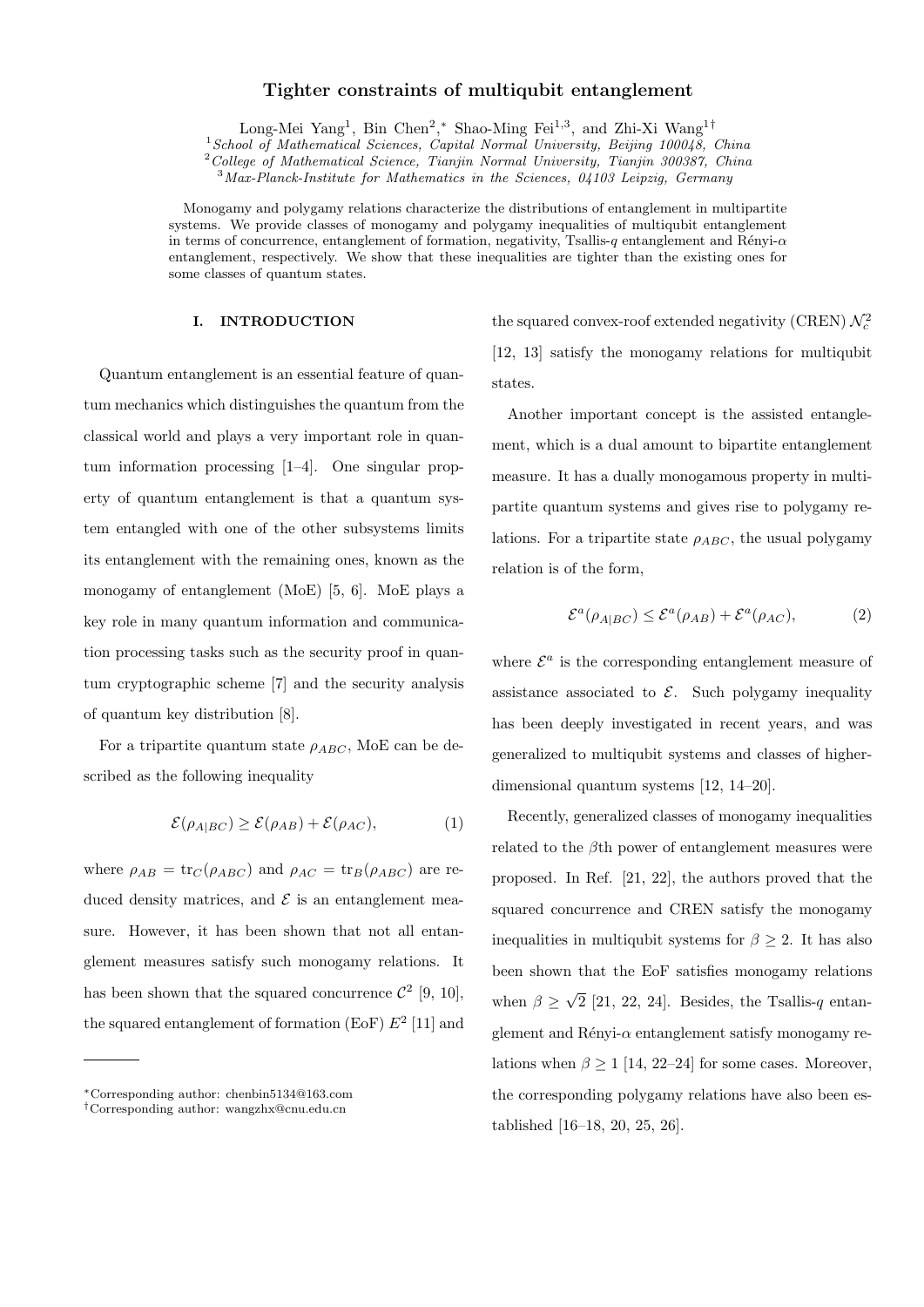# **Tighter constraints of multiqubit entanglement**

Long-Mei Yang<sup>1</sup>, Bin Chen<sup>2</sup>,\* Shao-Ming Fei<sup>1,3</sup>, and Zhi-Xi Wang<sup>1†</sup>

<sup>1</sup>*School of Mathematical Sciences, Capital Normal University, Beijing 100048, China*

<sup>2</sup>*College of Mathematical Science, Tianjin Normal University, Tianjin 300387, China*

<sup>3</sup>*Max-Planck-Institute for Mathematics in the Sciences, 04103 Leipzig, Germany*

Monogamy and polygamy relations characterize the distributions of entanglement in multipartite systems. We provide classes of monogamy and polygamy inequalities of multiqubit entanglement in terms of concurrence, entanglement of formation, negativity, Tsallis-*q* entanglement and R´enyi-*α* entanglement, respectively. We show that these inequalities are tighter than the existing ones for some classes of quantum states.

#### **I. INTRODUCTION**

Quantum entanglement is an essential feature of quantum mechanics which distinguishes the quantum from the classical world and plays a very important role in quantum information processing [1–4]. One singular property of quantum entanglement is that a quantum system entangled with one of the other subsystems limits its entanglement with the remaining ones, known as the monogamy of entanglement (MoE) [5, 6]. MoE plays a key role in many quantum information and communication processing tasks such as the security proof in quantum cryptographic scheme [7] and the security analysis of quantum key distribution [8].

For a tripartite quantum state  $\rho_{ABC}$ , MoE can be described as the following inequality

$$
\mathcal{E}(\rho_{A|BC}) \ge \mathcal{E}(\rho_{AB}) + \mathcal{E}(\rho_{AC}),\tag{1}
$$

where  $\rho_{AB} = \text{tr}_{C}(\rho_{ABC})$  and  $\rho_{AC} = \text{tr}_{B}(\rho_{ABC})$  are reduced density matrices, and  $\mathcal E$  is an entanglement measure. However, it has been shown that not all entanglement measures satisfy such monogamy relations. It has been shown that the squared concurrence  $\mathcal{C}^2$  [9, 10], the squared entanglement of formation  $(E \circ F) E^2$  [11] and

the squared convex-roof extended negativity (CREN)  $\mathcal{N}_c^2$ [12, 13] satisfy the monogamy relations for multiqubit states.

Another important concept is the assisted entanglement, which is a dual amount to bipartite entanglement measure. It has a dually monogamous property in multipartite quantum systems and gives rise to polygamy relations. For a tripartite state  $\rho_{ABC}$ , the usual polygamy relation is of the form,

$$
\mathcal{E}^{a}(\rho_{A|BC}) \le \mathcal{E}^{a}(\rho_{AB}) + \mathcal{E}^{a}(\rho_{AC}), \tag{2}
$$

where  $\mathcal{E}^a$  is the corresponding entanglement measure of assistance associated to  $\mathcal{E}$ . Such polygamy inequality has been deeply investigated in recent years, and was generalized to multiqubit systems and classes of higherdimensional quantum systems [12, 14–20].

Recently, generalized classes of monogamy inequalities related to the *β*th power of entanglement measures were proposed. In Ref. [21, 22], the authors proved that the squared concurrence and CREN satisfy the monogamy inequalities in multiqubit systems for  $\beta \geq 2$ . It has also been shown that the EoF satisfies monogamy relations when  $\beta \geq \sqrt{2}$  [21, 22, 24]. Besides, the Tsallis-*q* entanglement and Rényi-*α* entanglement satisfy monogamy relations when  $\beta > 1$  [14, 22–24] for some cases. Moreover, the corresponding polygamy relations have also been established [16–18, 20, 25, 26].

*<sup>∗</sup>*Corresponding author: chenbin5134@163.com

*<sup>†</sup>*Corresponding author: wangzhx@cnu.edu.cn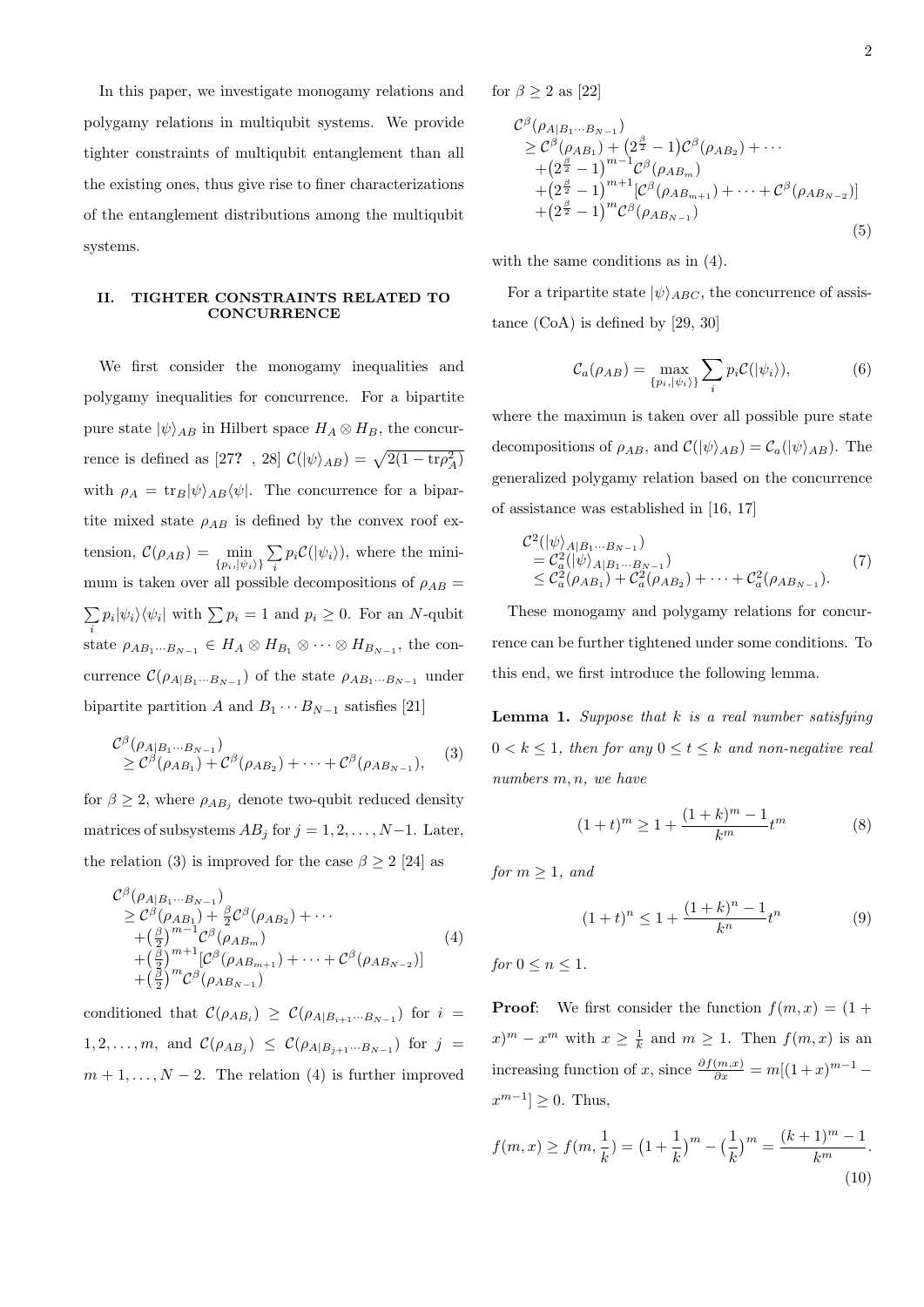In this paper, we investigate monogamy relations and polygamy relations in multiqubit systems. We provide tighter constraints of multiqubit entanglement than all the existing ones, thus give rise to finer characterizations of the entanglement distributions among the multiqubit systems.

# **II. TIGHTER CONSTRAINTS RELATED TO CONCURRENCE**

We first consider the monogamy inequalities and polygamy inequalities for concurrence. For a bipartite pure state  $|\psi\rangle_{AB}$  in Hilbert space  $H_A \otimes H_B$ , the concurrence is defined as [27? , 28]  $\mathcal{C}(|\psi\rangle_{AB}) = \sqrt{2(1 - \text{tr}\rho_A^2)}$ with  $\rho_A = \text{tr}_B |\psi\rangle_{AB} \langle \psi|$ . The concurrence for a bipartite mixed state  $\rho_{AB}$  is defined by the convex roof ex $t$ ension,  $\mathcal{C}(\rho_{AB}) = \min_{\{p_i, |\psi_i\rangle\}}$ ∑  $\sum_{i} p_i C(|\psi_i\rangle)$ , where the minimum is taken over all possible decompositions of  $\rho_{AB}$  = ∑  $\sum_i p_i |\psi_i\rangle \langle \psi_i|$  with  $\sum_i p_i = 1$  and  $p_i \geq 0$ . For an *N*-qubit state  $\rho_{AB_1\cdots B_{N-1}} \in H_A \otimes H_{B_1} \otimes \cdots \otimes H_{B_{N-1}}$ , the concurrence  $\mathcal{C}(\rho_{A|B_1\cdots B_{N-1}})$  of the state  $\rho_{AB_1\cdots B_{N-1}}$  under bipartite partition *A* and  $B_1 \cdots B_{N-1}$  satisfies [21]

$$
\mathcal{C}^{\beta}(\rho_{A|B_1\cdots B_{N-1}})\geq \mathcal{C}^{\beta}(\rho_{AB_1})+\mathcal{C}^{\beta}(\rho_{AB_2})+\cdots+\mathcal{C}^{\beta}(\rho_{AB_{N-1}}),
$$
 (3)

for  $\beta \geq 2$ , where  $\rho_{AB_j}$  denote two-qubit reduced density matrices of subsystems  $AB_j$  for  $j = 1, 2, \ldots, N-1$ . Later, the relation (3) is improved for the case  $\beta \geq 2$  [24] as

$$
\mathcal{C}^{\beta}(\rho_{A|B_{1}\cdots B_{N-1}})\n\geq \mathcal{C}^{\beta}(\rho_{AB_{1}})+\frac{\beta}{2}\mathcal{C}^{\beta}(\rho_{AB_{2}})+\cdots\n+(\frac{\beta}{2})^{m-1}\mathcal{C}^{\beta}(\rho_{AB_{m}})\n+(\frac{\beta}{2})^{m+1}[\mathcal{C}^{\beta}(\rho_{AB_{m+1}})+\cdots+\mathcal{C}^{\beta}(\rho_{AB_{N-2}})]\n+(\frac{\beta}{2})^{m}\mathcal{C}^{\beta}(\rho_{AB_{N-1}})
$$
\n(4)

conditioned that  $\mathcal{C}(\rho_{AB_i}) \geq \mathcal{C}(\rho_{A|B_{i+1}\cdots B_{N-1}})$  for  $i =$ 1, 2, ..., m, and  $\mathcal{C}(\rho_{AB_j}) \leq \mathcal{C}(\rho_{A|B_{j+1}\cdots B_{N-1}})$  for  $j =$  $m+1,\ldots,N-2$ . The relation (4) is further improved for  $\beta \geq 2$  as [22]

$$
\mathcal{C}^{\beta}(\rho_{A|B_{1}\cdots B_{N-1}})\n\geq \mathcal{C}^{\beta}(\rho_{AB_{1}}) + (2^{\frac{\beta}{2}} - 1)\mathcal{C}^{\beta}(\rho_{AB_{2}}) + \cdots\n+ (2^{\frac{\beta}{2}} - 1)^{m-1}\mathcal{C}^{\beta}(\rho_{AB_{m}})\n+ (2^{\frac{\beta}{2}} - 1)^{m+1}[\mathcal{C}^{\beta}(\rho_{AB_{m+1}}) + \cdots + \mathcal{C}^{\beta}(\rho_{AB_{N-2}})]\n+ (2^{\frac{\beta}{2}} - 1)^{m}\mathcal{C}^{\beta}(\rho_{AB_{N-1}})
$$
\n(5)

with the same conditions as in (4).

For a tripartite state  $|\psi\rangle_{ABC}$ , the concurrence of assistance (CoA) is defined by [29, 30]

$$
C_a(\rho_{AB}) = \max_{\{p_i, |\psi_i\rangle\}} \sum_i p_i \mathcal{C}(|\psi_i\rangle),\tag{6}
$$

where the maximun is taken over all possible pure state decompositions of  $\rho_{AB}$ , and  $\mathcal{C}(|\psi\rangle_{AB}) = \mathcal{C}_a(|\psi\rangle_{AB})$ . The generalized polygamy relation based on the concurrence of assistance was established in [16, 17]

$$
\mathcal{C}^{2}(|\psi\rangle_{A|B_{1}\cdots B_{N-1}})\n= \mathcal{C}_{a}^{2}(|\psi\rangle_{A|B_{1}\cdots B_{N-1}})\n\leq \mathcal{C}_{a}^{2}(\rho_{AB_{1}}) + \mathcal{C}_{a}^{2}(\rho_{AB_{2}}) + \cdots + \mathcal{C}_{a}^{2}(\rho_{AB_{N-1}}).
$$
\n(7)

These monogamy and polygamy relations for concurrence can be further tightened under some conditions. To this end, we first introduce the following lemma.

**Lemma 1.** *Suppose that k is a real number satisfying*  $0 < k \leq 1$ , then for any  $0 \leq t \leq k$  and non-negative real *numbers m, n, we have*

$$
(1+t)^m \ge 1 + \frac{(1+k)^m - 1}{k^m} t^m
$$
 (8)

*for*  $m \geq 1$ *, and* 

$$
(1+t)^n \le 1 + \frac{(1+k)^n - 1}{k^n} t^n \tag{9}
$$

*for*  $0 \leq n \leq 1$ *.* 

**Proof:** We first consider the function  $f(m, x) = (1 +$  $f(x) = x^m$  with  $x \geq \frac{1}{k}$  and  $m \geq 1$ . Then  $f(m, x)$  is an increasing function of *x*, since  $\frac{\partial f(m,x)}{\partial x} = m[(1+x)^{m-1}$  $x^{m-1}$  ≥ 0. Thus,

$$
f(m, x) \ge f(m, \frac{1}{k}) = \left(1 + \frac{1}{k}\right)^m - \left(\frac{1}{k}\right)^m = \frac{(k+1)^m - 1}{k^m}.
$$
\n(10)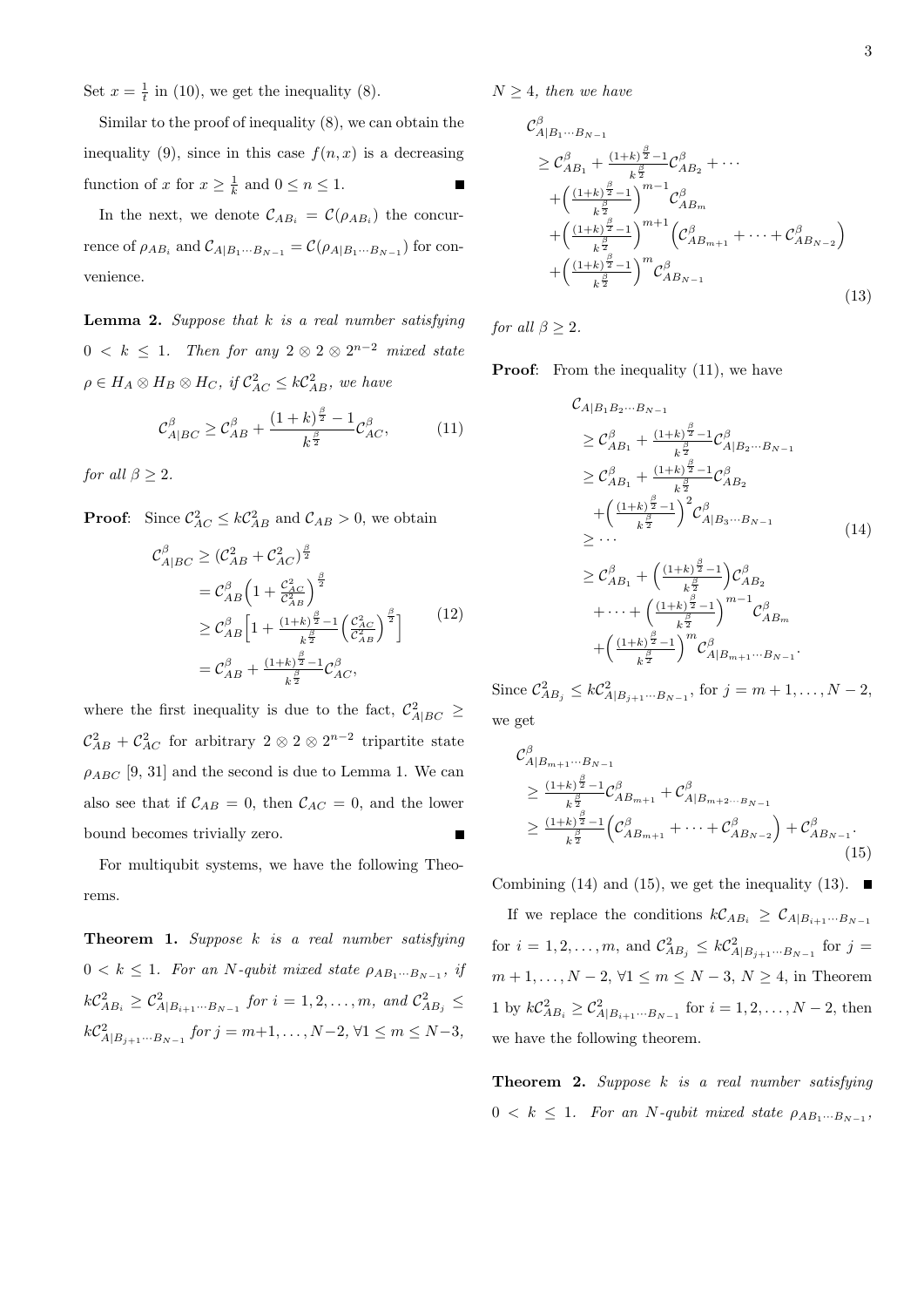Set  $x = \frac{1}{t}$  in (10), we get the inequality (8).

Similar to the proof of inequality (8), we can obtain the inequality (9), since in this case  $f(n, x)$  is a decreasing function of *x* for  $x \geq \frac{1}{k}$  and  $0 \leq n \leq 1$ .

In the next, we denote  $\mathcal{C}_{AB_i} = \mathcal{C}(\rho_{AB_i})$  the concurrence of  $\rho_{AB_i}$  and  $C_{A|B_1\cdots B_{N-1}} = C(\rho_{A|B_1\cdots B_{N-1}})$  for convenience.

**Lemma 2.** *Suppose that k is a real number satisfying*  $0 < k \leq 1$ . Then for any  $2 \otimes 2 \otimes 2^{n-2}$  mixed state  $\rho \in H_A \otimes H_B \otimes H_C$ , if  $C_{AC}^2 \leq kC_{AB}^2$ , we have

$$
\mathcal{C}_{A|BC}^{\beta} \ge \mathcal{C}_{AB}^{\beta} + \frac{(1+k)^{\frac{\beta}{2}} - 1}{k^{\frac{\beta}{2}}} \mathcal{C}_{AC}^{\beta},\tag{11}
$$

*for all*  $\beta > 2$ *.* 

**Proof:** Since  $C_{AC}^2 \le kC_{AB}^2$  and  $C_{AB} > 0$ , we obtain

$$
C_{A|BC}^{\beta} \ge (C_{AB}^2 + C_{AC}^2)^{\frac{\beta}{2}}
$$
  
=  $C_{AB}^{\beta} \left( 1 + \frac{C_{AC}^2}{C_{AB}^2} \right)^{\frac{\beta}{2}}$   

$$
\ge C_{AB}^{\beta} \left[ 1 + \frac{(1+k)^{\frac{\beta}{2}} - 1}{k^{\frac{\beta}{2}}} \left( \frac{C_{AC}^2}{C_{AB}^2} \right)^{\frac{\beta}{2}} \right]
$$
  
=  $C_{AB}^{\beta} + \frac{(1+k)^{\frac{\beta}{2}} - 1}{k^{\frac{\beta}{2}}} C_{AC}^{\beta},$  (12)

where the first inequality is due to the fact,  $\mathcal{C}_{A|BC}^2 \geq$  $\mathcal{C}_{AB}^2 + \mathcal{C}_{AC}^2$  for arbitrary 2  $\otimes$  2  $\otimes$  2<sup>*n*-2</sup> tripartite state  $\rho_{ABC}$  [9, 31] and the second is due to Lemma 1. We can also see that if  $C_{AB} = 0$ , then  $C_{AC} = 0$ , and the lower bound becomes trivially zero. Г

For multiqubit systems, we have the following Theorems.

**Theorem 1.** *Suppose k is a real number satisfying*  $0 < k \leq 1$ *. For an N*-qubit mixed state  $\rho_{AB_1\cdots B_{N-1}}$ , if  $k\mathcal{C}_{AB_i}^2 \geq \mathcal{C}_{A|B_{i+1} \cdots B_{N-1}}^2$  *for*  $i = 1, 2, \ldots, m$ *, and*  $\mathcal{C}_{AB_j}^2 \leq$  $k\mathcal{C}_{A|B_{j+1}\cdots B_{N-1}}^2$  *for*  $j = m+1, \ldots, N-2, \forall 1 \le m \le N-3$ ,

 $N \geq 4$ *, then we have* 

$$
C_{A|B_1...B_{N-1}}^{\beta}
$$
  
\n
$$
\geq C_{AB_1}^{\beta} + \frac{(1+k)^{\frac{\beta}{2}}-1}{k^{\frac{\beta}{2}}} C_{AB_2}^{\beta} + \cdots
$$
  
\n
$$
+ \left(\frac{(1+k)^{\frac{\beta}{2}}-1}{k^{\frac{\beta}{2}}}\right)^{m-1} C_{AB_m}^{\beta}
$$
  
\n
$$
+ \left(\frac{(1+k)^{\frac{\beta}{2}}-1}{k^{\frac{\beta}{2}}}\right)^{m+1} \left(C_{AB_{m+1}}^{\beta} + \cdots + C_{AB_{N-2}}^{\beta}\right)
$$
  
\n
$$
+ \left(\frac{(1+k)^{\frac{\beta}{2}}-1}{k^{\frac{\beta}{2}}}\right)^m C_{AB_{N-1}}^{\beta}
$$
\n(13)

*for all*  $\beta > 2$ *.* 

**Proof:** From the inequality (11), we have

$$
C_{A|B_1B_2\cdots B_{N-1}}\n\geq \mathcal{C}_{AB_1}^{\beta} + \frac{(1+k)^{\frac{\beta}{2}}-1}{k^{\frac{\beta}{2}}} \mathcal{C}_{A|B_2\cdots B_{N-1}}^{\beta}\n\geq \mathcal{C}_{AB_1}^{\beta} + \frac{(1+k)^{\frac{\beta}{2}}-1}{k^{\frac{\beta}{2}}} \mathcal{C}_{AB_2}^{\beta}\n+ \left(\frac{(1+k)^{\frac{\beta}{2}}-1}{k^{\frac{\beta}{2}}}\right)^2 \mathcal{C}_{A|B_3\cdots B_{N-1}}^{\beta}\n\geq \cdots\n\geq \mathcal{C}_{AB_1}^{\beta} + \left(\frac{(1+k)^{\frac{\beta}{2}}-1}{k^{\frac{\beta}{2}}}\right) \mathcal{C}_{AB_2}^{\beta}\n+ \cdots + \left(\frac{(1+k)^{\frac{\beta}{2}}-1}{k^{\frac{\beta}{2}}}\right)^{m-1} \mathcal{C}_{AB_m}^{\beta}\n+ \left(\frac{(1+k)^{\frac{\beta}{2}}-1}{k^{\frac{\beta}{2}}}\right)^m \mathcal{C}_{A|B_{m+1}\cdots B_{N-1}}^{\beta}.
$$
\n(14)

Since  $C_{AB_j}^2 \le kC_{A|B_{j+1}\cdots B_{N-1}}^2$ , for  $j = m+1, ..., N-2$ , we get

$$
C_{A|B_{m+1}\cdots B_{N-1}}^{\beta}
$$
  
\n
$$
\geq \frac{(1+k)^{\frac{\beta}{2}}-1}{k^{\frac{\beta}{2}}}C_{AB_{m+1}}^{\beta} + C_{A|B_{m+2}\cdots B_{N-1}}^{\beta}
$$
  
\n
$$
\geq \frac{(1+k)^{\frac{\beta}{2}}-1}{k^{\frac{\beta}{2}}} \left(C_{AB_{m+1}}^{\beta} + \cdots + C_{AB_{N-2}}^{\beta}\right) + C_{AB_{N-1}}^{\beta}.
$$
\n(15)

Combining (14) and (15), we get the inequality (13).  $\blacksquare$ 

If we replace the conditions  $k\mathcal{C}_{AB_i} \geq \mathcal{C}_{A|B_{i+1}\cdots B_{N-1}}$ for  $i = 1, 2, ..., m$ , and  $C_{AB_j}^2 \leq kC_{A|B_{j+1}...B_{N-1}}^2$  for  $j =$ *m* + 1, ..., *N* − 2,  $\forall$ 1 ≤ *m* ≤ *N* − 3, *N* ≥ 4, in Theorem 1 by  $k\mathcal{C}_{AB_i}^2 \geq \mathcal{C}_{A|B_{i+1}\cdots B_{N-1}}^2$  for *i* = 1, 2, . . . , *N* − 2, then we have the following theorem.

**Theorem 2.** *Suppose k is a real number satisfying*  $0 < k \leq 1$ *. For an N*-qubit mixed state  $\rho_{AB_1\cdots B_{N-1}}$ ,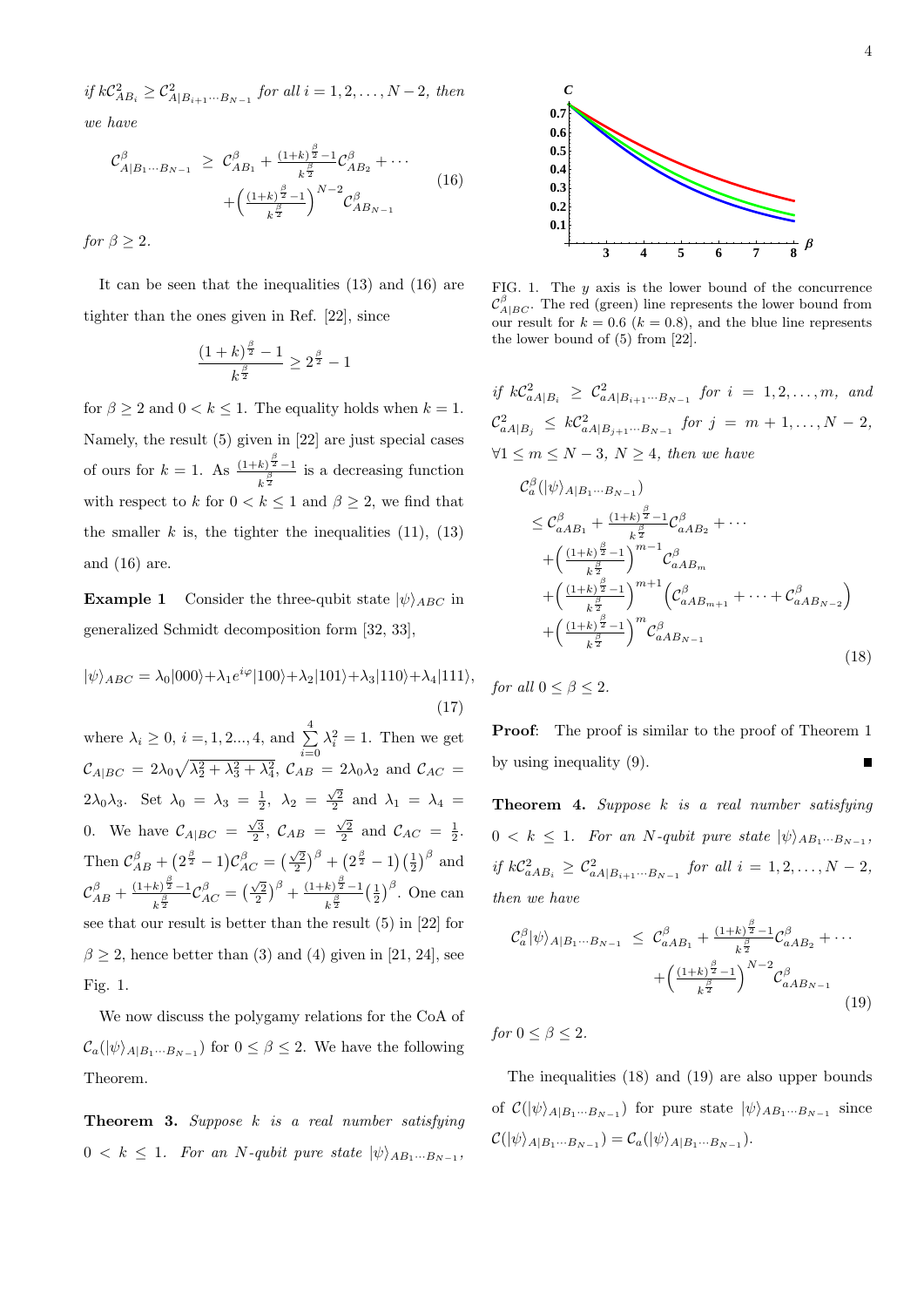*if*  $kC_{AB_i}^2 ≥ C_{A|B_{i+1}··B_{N-1}}^2$  *for all*  $i = 1, 2, ..., N-2$ *, then we have*

$$
\mathcal{C}_{A|B_1\cdots B_{N-1}}^{\beta} \geq \mathcal{C}_{AB_1}^{\beta} + \frac{(1+k)^{\frac{\beta}{2}}-1}{k^{\frac{\beta}{2}}} \mathcal{C}_{AB_2}^{\beta} + \cdots + \left(\frac{(1+k)^{\frac{\beta}{2}}-1}{k^{\frac{\beta}{2}}}\right)^{N-2} \mathcal{C}_{AB_{N-1}}^{\beta}
$$
(16)

*for*  $\beta \geq 2$ *.* 

It can be seen that the inequalities (13) and (16) are tighter than the ones given in Ref. [22], since

$$
\frac{(1+k)^{\frac{\beta}{2}}-1}{k^{\frac{\beta}{2}}} \ge 2^{\frac{\beta}{2}}-1
$$

for  $\beta \geq 2$  and  $0 < k \leq 1$ . The equality holds when  $k = 1$ . Namely, the result (5) given in [22] are just special cases of ours for  $k = 1$ . As  $\frac{(1+k)^{\frac{\beta}{2}}-1}{\beta}$  $\frac{k^{\beta}}{k^{\frac{\beta}{2}}}$  is a decreasing function with respect to *k* for  $0 < k \leq 1$  and  $\beta \geq 2$ , we find that the smaller  $k$  is, the tighter the inequalities  $(11)$ ,  $(13)$ and (16) are.

**Example 1** Consider the three-qubit state  $|\psi\rangle_{ABC}$  in generalized Schmidt decomposition form [32, 33],

$$
|\psi\rangle_{ABC} = \lambda_0|000\rangle + \lambda_1 e^{i\varphi}|100\rangle + \lambda_2|101\rangle + \lambda_3|110\rangle + \lambda_4|111\rangle,
$$
\n(17)

where  $\lambda_i \geq 0, i = 1, 2, ..., 4$ , and  $\sum_{i=1}^{4}$ *i*=0  $\lambda_i^2 = 1$ . Then we get  $\mathcal{C}_{A|BC} = 2\lambda_0 \sqrt{\lambda_2^2 + \lambda_3^2 + \lambda_4^2}$ ,  $\mathcal{C}_{AB} = 2\lambda_0 \lambda_2$  and  $\mathcal{C}_{AC} =$ 2 $\lambda_0 \lambda_3$ . Set  $\lambda_0 = \lambda_3 = \frac{1}{2}$ ,  $\lambda_2 = \frac{\sqrt{2}}{2}$  and  $\lambda_1 = \lambda_4 =$ 0. We have  $C_{A|BC} = \frac{\sqrt{3}}{2}$ ,  $C_{AB} = \frac{\sqrt{2}}{2}$  and  $C_{AC} = \frac{1}{2}$ . Then  $C_{AB}^{\beta} + (2^{\frac{\beta}{2}} - 1)C_{AC}^{\beta} = (\frac{\sqrt{2}}{2})^{\beta} + (2^{\frac{\beta}{2}} - 1)(\frac{1}{2})^{\beta}$  and  $\mathcal{C}_{AB}^{\beta} + \frac{(1+k)^{\frac{\beta}{2}} - 1}{k^{\frac{\beta}{2}}}$  $\frac{k}{k^{\frac{\beta}{2}}-1}\mathcal{C}_{AC}^{\beta} = \left(\frac{\sqrt{2}}{2}\right)^{\beta} + \frac{(1+k)^{\frac{\beta}{2}}-1}{k^{\frac{\beta}{2}}}$  $k^{\frac{\beta}{2}}$  $\left(\frac{1}{2}\right)^{\beta}$ . One can see that our result is better than the result (5) in [22] for  $\beta \geq 2$ , hence better than (3) and (4) given in [21, 24], see Fig. 1.

We now discuss the polygamy relations for the CoA of  $\mathcal{C}_a(|\psi\rangle_{A|B_1\cdots B_{N-1}})$  for  $0 \leq \beta \leq 2$ . We have the following Theorem.

**Theorem 3.** *Suppose k is a real number satisfying*  $0 < k \leq 1$ *. For an N*-qubit pure state  $|\psi\rangle_{AB_1\cdots B_{N-1}}$ ,



FIG. 1. The *y* axis is the lower bound of the concurrence  $\mathcal{C}_{A|BC}^{\beta}$ . The red (green) line represents the lower bound from our result for  $k = 0.6$  ( $k = 0.8$ ), and the blue line represents the lower bound of (5) from [22].

*if*  $kC_{aA|B_i}^2 \geq C_{aA|B_{i+1}\cdots B_{N-1}}^2$  *for*  $i = 1, 2, \ldots, m$ *, and*  $\mathcal{C}_{aA|B_j}^2 \leq k\mathcal{C}_{aA|B_{j+1}\cdots B_{N-1}}^2$  *for*  $j = m+1,\ldots,N-2$ , *∀*1 *≤ m ≤ N −* 3*, N ≥* 4*, then we have*

$$
C_{a}^{\beta}(|\psi\rangle_{A|B_{1}\cdots B_{N-1}})
$$
  
\n
$$
\leq C_{aAB_{1}}^{\beta} + \frac{(1+k)^{\frac{\beta}{2}}-1}{k^{\frac{\beta}{2}}}C_{aAB_{2}}^{\beta} + \cdots
$$
  
\n
$$
+ \left(\frac{(1+k)^{\frac{\beta}{2}}-1}{k^{\frac{\beta}{2}}}\right)^{m-1}C_{aAB_{m}}^{\beta}
$$
  
\n
$$
+ \left(\frac{(1+k)^{\frac{\beta}{2}}-1}{k^{\frac{\beta}{2}}}\right)^{m+1} \left(C_{aAB_{m+1}}^{\beta} + \cdots + C_{aAB_{N-2}}^{\beta}\right)
$$
  
\n
$$
+ \left(\frac{(1+k)^{\frac{\beta}{2}}-1}{k^{\frac{\beta}{2}}}\right)^{m}C_{aAB_{N-1}}^{\beta}
$$
\n(18)

*for all*  $0 \leq \beta \leq 2$ *.* 

**Proof**: The proof is similar to the proof of Theorem 1 by using inequality (9).

**Theorem 4.** *Suppose k is a real number satisfying*  $0 < k \leq 1$ *. For an N*-qubit pure state  $|\psi\rangle_{AB_1\cdots B_{N-1}}$ ,  $if k\mathcal{C}_{aAB_i}^2 \geq \mathcal{C}_{aA|B_{i+1}\cdots B_{N-1}}^2$  *for all*  $i = 1, 2, \ldots, N-2$ , *then we have*

$$
\mathcal{C}_{a}^{\beta}|\psi\rangle_{A|B_{1}\cdots B_{N-1}} \leq \mathcal{C}_{aAB_{1}}^{\beta} + \frac{(1+k)^{\frac{\beta}{2}}-1}{k^{\frac{\beta}{2}}}\mathcal{C}_{aAB_{2}}^{\beta} + \cdots + \left(\frac{(1+k)^{\frac{\beta}{2}}-1}{k^{\frac{\beta}{2}}}\right)^{N-2}\mathcal{C}_{aAB_{N-1}}^{\beta}
$$
\n(19)

*for*  $0 \leq \beta \leq 2$ *.* 

The inequalities (18) and (19) are also upper bounds of  $\mathcal{C}(|\psi\rangle_{A|B_1\cdots B_{N-1}})$  for pure state  $|\psi\rangle_{AB_1\cdots B_{N-1}}$  since  $\mathcal{C}(|\psi\rangle_{A|B_1\cdots B_{N-1}}) = \mathcal{C}_a(|\psi\rangle_{A|B_1\cdots B_{N-1}}).$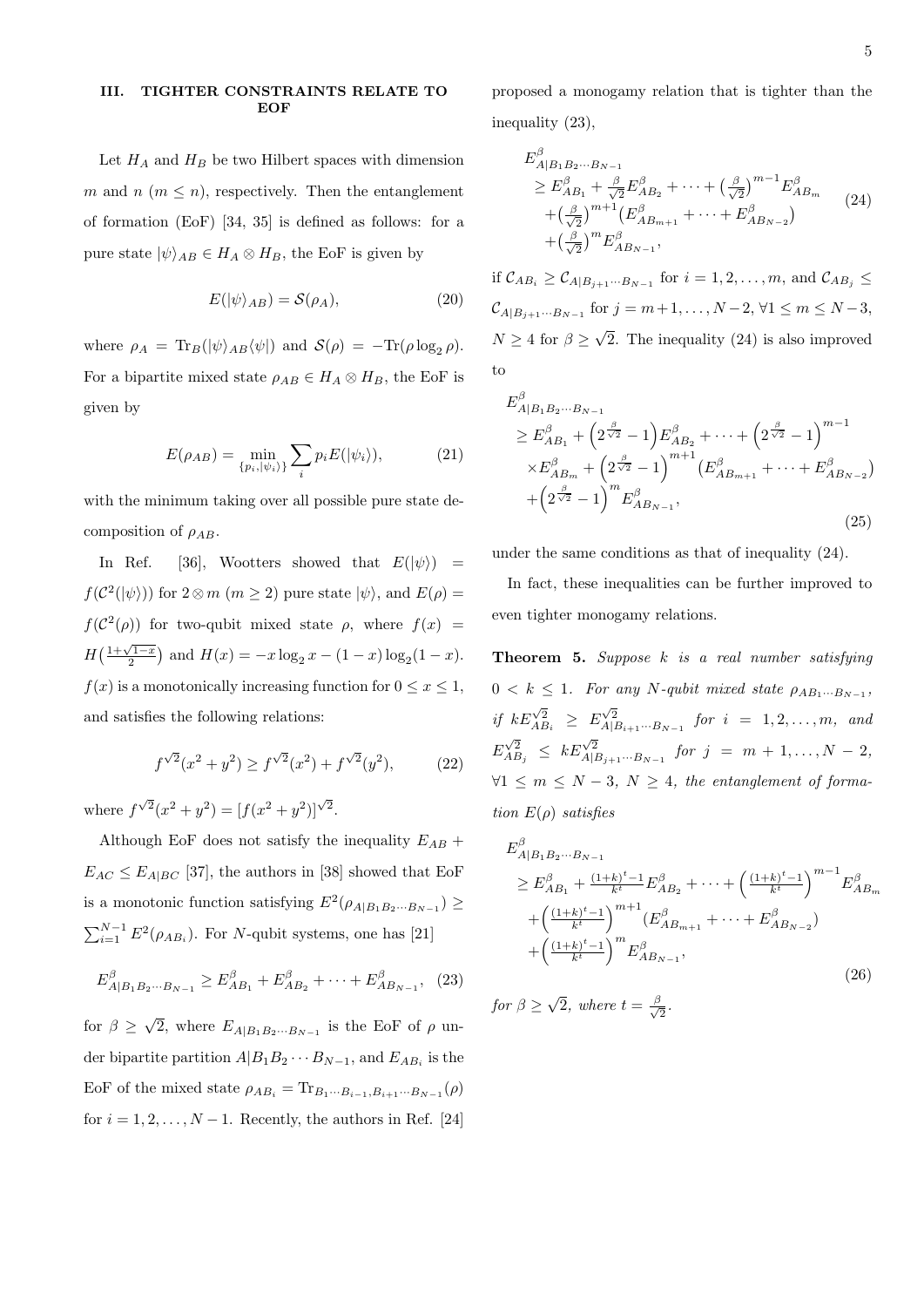### **III. TIGHTER CONSTRAINTS RELATE TO EOF**

Let  $H_A$  and  $H_B$  be two Hilbert spaces with dimension *m* and *n* ( $m \leq n$ ), respectively. Then the entanglement of formation (EoF) [34, 35] is defined as follows: for a pure state  $|\psi\rangle_{AB} \in H_A \otimes H_B$ , the EoF is given by

$$
E(|\psi\rangle_{AB}) = \mathcal{S}(\rho_A),\tag{20}
$$

where  $\rho_A = \text{Tr}_B(|\psi\rangle_{AB} \langle \psi|)$  and  $S(\rho) = -\text{Tr}(\rho \log_2 \rho)$ . For a bipartite mixed state  $\rho_{AB} \in H_A \otimes H_B$ , the EoF is given by

$$
E(\rho_{AB}) = \min_{\{p_i, |\psi_i\rangle\}} \sum_i p_i E(|\psi_i\rangle),\tag{21}
$$

with the minimum taking over all possible pure state decomposition of *ρAB*.

In Ref. [36], Wootters showed that  $E(|\psi\rangle)$  =  $f(\mathcal{C}^2(|\psi\rangle))$  for  $2 \otimes m$  ( $m \geq 2$ ) pure state  $|\psi\rangle$ , and  $E(\rho)$  =  $f(\mathcal{C}^2(\rho))$  for two-qubit mixed state  $\rho$ , where  $f(x)$  =  $H\left(\frac{1+\sqrt{1-x}}{2}\right)$  and  $H(x) = -x \log_2 x - (1-x) \log_2 (1-x)$ . *f*(*x*) is a monotonically increasing function for  $0 \le x \le 1$ , and satisfies the following relations:

$$
f^{\sqrt{2}}(x^2 + y^2) \ge f^{\sqrt{2}}(x^2) + f^{\sqrt{2}}(y^2), \tag{22}
$$

where  $f^{\sqrt{2}}(x^2 + y^2) = [f(x^2 + y^2)]^{\sqrt{2}}$ .

Although EoF does not satisfy the inequality  $E_{AB}$  +  $E_{AC} \leq E_{A|BC}$  [37], the authors in [38] showed that EoF is a monotonic function satisfying  $E^2(\rho_{A|B_1B_2\cdots B_{N-1}}) \ge$  $\sum_{i=1}^{N-1} E^2(\rho_{AB_i})$ . For *N*-qubit systems, one has [21]

$$
E_{A|B_1B_2\cdots B_{N-1}}^{\beta} \ge E_{AB_1}^{\beta} + E_{AB_2}^{\beta} + \cdots + E_{AB_{N-1}}^{\beta}, \tag{23}
$$

for  $\beta \geq \sqrt{2}$ , where  $E_{A|B_1B_2\cdots B_{N-1}}$  is the EoF of  $\rho$  under bipartite partition  $A|B_1B_2 \cdots B_{N-1}$ , and  $E_{AB_i}$  is the EoF of the mixed state  $\rho_{AB_i} = \text{Tr}_{B_1 \cdots B_{i-1}, B_{i+1} \cdots B_{N-1}}(\rho)$ for  $i = 1, 2, \ldots, N - 1$ . Recently, the authors in Ref. [24]

proposed a monogamy relation that is tighter than the inequality (23),

$$
E_{A|B_1B_2\cdots B_{N-1}}^{\beta}
$$
  
\n
$$
\geq E_{AB_1}^{\beta} + \frac{\beta}{\sqrt{2}} E_{AB_2}^{\beta} + \cdots + \left(\frac{\beta}{\sqrt{2}}\right)^{m-1} E_{AB_m}^{\beta}
$$
  
\n
$$
+ \left(\frac{\beta}{\sqrt{2}}\right)^{m+1} \left(E_{AB_{m+1}}^{\beta} + \cdots + E_{AB_{N-2}}^{\beta}\right)
$$
  
\n
$$
+ \left(\frac{\beta}{\sqrt{2}}\right)^m E_{AB_{N-1}}^{\beta},
$$
\n(24)

if  $\mathcal{C}_{AB_i}$  ≥  $\mathcal{C}_{A|B_{j+1}\cdots B_{N-1}}$  for  $i = 1, 2, \ldots, m$ , and  $\mathcal{C}_{AB_j}$  ≤  $C_{A|B_{j+1}\cdots B_{N-1}}$  for  $j = m+1, \ldots, N-2, \forall 1 \le m \le N-3$ ,  $N \geq 4$  for  $\beta \geq \sqrt{2}$ . The inequality (24) is also improved to

$$
E_{A|B_1B_2\cdots B_{N-1}}^{\beta}
$$
  
\n
$$
\geq E_{AB_1}^{\beta} + \left(2^{\frac{\beta}{\sqrt{2}}} - 1\right) E_{AB_2}^{\beta} + \cdots + \left(2^{\frac{\beta}{\sqrt{2}}} - 1\right)^{m-1}
$$
  
\n
$$
\times E_{AB_m}^{\beta} + \left(2^{\frac{\beta}{\sqrt{2}}} - 1\right)^{m+1} \left( E_{AB_{m+1}}^{\beta} + \cdots + E_{AB_{N-2}}^{\beta} \right)
$$
  
\n
$$
+ \left(2^{\frac{\beta}{\sqrt{2}}} - 1\right)^m E_{AB_{N-1}}^{\beta},
$$
\n(25)

under the same conditions as that of inequality (24).

In fact, these inequalities can be further improved to even tighter monogamy relations.

**Theorem 5.** *Suppose k is a real number satisfying*  $0 < k \leq 1$ *. For any*  $N$ -qubit mixed state  $\rho_{AB_1\cdots B_{N-1}}$ , *if*  $kE\begin{bmatrix} \sqrt{2} \\ A \end{bmatrix}$   $\geq E\begin{bmatrix} \sqrt{2} \\ A | B_{i+1} \cdots B_{N-1} \end{bmatrix}$  for  $i = 1, 2, \ldots, m$ , and  $E^{\sqrt{2}}_{AB_j} \leq kE^{\sqrt{2}}_{A|B_{j+1}\cdots B_{N-1}}$  *for j* = *m* + 1*, . . . , N* − 2*, ∀*1  $\leq$  *m*  $\leq$  *N*  $-$  3*, N*  $\geq$  4*, the entanglement of formation E*(*ρ*) *satisfies*

$$
E_{A|B_1B_2\cdots B_{N-1}}^{\beta}
$$
  
\n
$$
\geq E_{AB_1}^{\beta} + \frac{(1+k)^{t}-1}{k^t} E_{AB_2}^{\beta} + \cdots + \left(\frac{(1+k)^{t}-1}{k^t}\right)^{m-1} E_{AB_m}^{\beta}
$$
  
\n
$$
+ \left(\frac{(1+k)^{t}-1}{k^t}\right)^{m+1} (E_{AB_{m+1}}^{\beta} + \cdots + E_{AB_{N-2}}^{\beta})
$$
  
\n
$$
+ \left(\frac{(1+k)^{t}-1}{k^t}\right)^m E_{AB_{N-1}}^{\beta},
$$
\n(26)

*for*  $\beta \geq \sqrt{2}$ *, where*  $t = \frac{\beta}{\sqrt{2}}$  $\frac{1}{2}$ .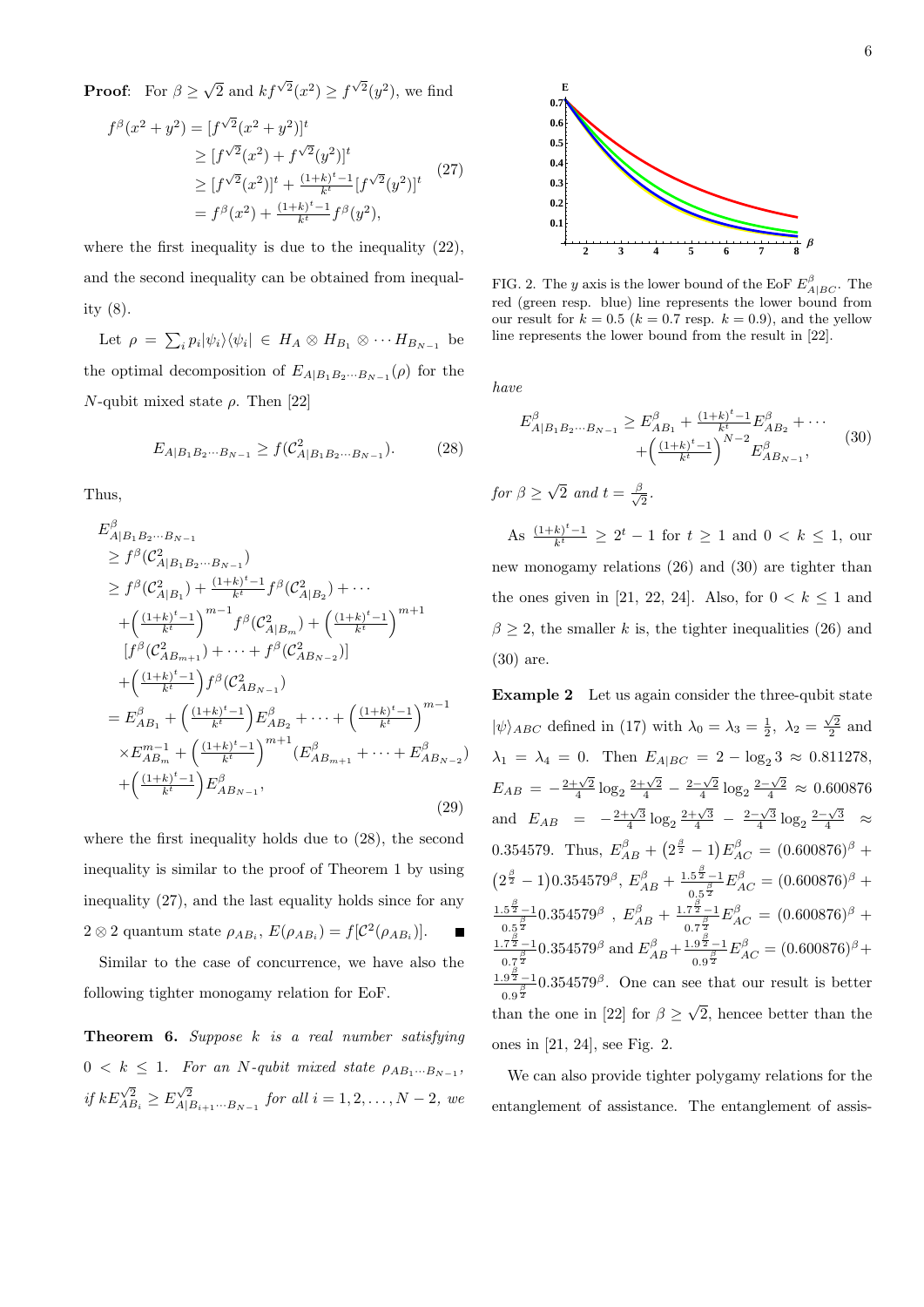**Proof:** For  $\beta \ge \sqrt{2}$  and  $kf^{\sqrt{2}}(x^2) \ge f^{\sqrt{2}}(y^2)$ , we find

$$
f^{\beta}(x^{2} + y^{2}) = [f^{\sqrt{2}}(x^{2} + y^{2})]^{t}
$$
  
\n
$$
\geq [f^{\sqrt{2}}(x^{2}) + f^{\sqrt{2}}(y^{2})]^{t}
$$
  
\n
$$
\geq [f^{\sqrt{2}}(x^{2})]^{t} + \frac{(1+k)^{t}-1}{k^{t}} [f^{\sqrt{2}}(y^{2})]^{t}
$$
  
\n
$$
= f^{\beta}(x^{2}) + \frac{(1+k)^{t}-1}{k^{t}} f^{\beta}(y^{2}),
$$
\n(27)

where the first inequality is due to the inequality (22), and the second inequality can be obtained from inequality (8).

Let  $\rho = \sum_i p_i |\psi_i\rangle\langle\psi_i| \in H_A \otimes H_{B_1} \otimes \cdots H_{B_{N-1}}$  be the optimal decomposition of  $E_{A|B_1B_2\cdots B_{N-1}}(\rho)$  for the *N*-qubit mixed state  $\rho$ . Then [22]

$$
E_{A|B_1B_2\cdots B_{N-1}} \ge f(\mathcal{C}_{A|B_1B_2\cdots B_{N-1}}^2). \tag{28}
$$

Thus,

$$
E_{A|B_1B_2\cdots B_{N-1}}^{\beta}
$$
  
\n
$$
\geq f^{\beta}(\mathcal{C}_{A|B_1B_2\cdots B_{N-1}}^2)
$$
  
\n
$$
\geq f^{\beta}(\mathcal{C}_{A|B_1}^2) + \frac{(1+k)^t - 1}{k^t} f^{\beta}(\mathcal{C}_{A|B_2}^2) + \cdots
$$
  
\n
$$
+ \left(\frac{(1+k)^t - 1}{k^t}\right)^{m-1} f^{\beta}(\mathcal{C}_{A|B_m}^2) + \left(\frac{(1+k)^t - 1}{k^t}\right)^{m+1}
$$
  
\n
$$
[f^{\beta}(\mathcal{C}_{AB_{m+1}}^2) + \cdots + f^{\beta}(\mathcal{C}_{AB_{N-2}}^2)]
$$
  
\n
$$
+ \left(\frac{(1+k)^t - 1}{k^t}\right) f^{\beta}(\mathcal{C}_{AB_{N-1}}^2)
$$
  
\n
$$
= E_{AB_1}^{\beta} + \left(\frac{(1+k)^t - 1}{k^t}\right) E_{AB_2}^{\beta} + \cdots + \left(\frac{(1+k)^t - 1}{k^t}\right)^{m-1}
$$
  
\n
$$
\times E_{AB_m}^{m-1} + \left(\frac{(1+k)^t - 1}{k^t}\right)^{m+1} (E_{AB_{m+1}}^{\beta} + \cdots + E_{AB_{N-2}}^{\beta})
$$
  
\n
$$
+ \left(\frac{(1+k)^t - 1}{k^t}\right) E_{AB_{N-1}}^{\beta}, \qquad (29)
$$

where the first inequality holds due to (28), the second inequality is similar to the proof of Theorem 1 by using inequality (27), and the last equality holds since for any  $2 \otimes 2$  quantum state  $\rho_{AB_i}$ ,  $E(\rho_{AB_i}) = f[\mathcal{C}^2(\rho_{AB_i})]$ .

Similar to the case of concurrence, we have also the following tighter monogamy relation for EoF.

**Theorem 6.** *Suppose k is a real number satisfying*  $0 < k \leq 1$ *. For an N*-qubit mixed state  $\rho_{AB_1\cdots B_{N-1}}$ , if  $kE_{AB_i}^{\sqrt{2}} \ge E_{A|B_{i+1}\cdots B_{N-1}}^{\sqrt{2}}$  for all  $i = 1, 2, ..., N-2$ , we



FIG. 2. The *y* axis is the lower bound of the EoF  $E_{A|BC}^{\beta}$ . The red (green resp. blue) line represents the lower bound from our result for  $k = 0.5$  ( $k = 0.7$  resp.  $k = 0.9$ ), and the yellow line represents the lower bound from the result in [22].

*have*

$$
E_{A|B_1B_2\cdots B_{N-1}}^{\beta} \ge E_{AB_1}^{\beta} + \frac{(1+k)^t - 1}{k^t} E_{AB_2}^{\beta} + \cdots + \left(\frac{(1+k)^t - 1}{k^t}\right)^{N-2} E_{AB_{N-1}}^{\beta},
$$
\n(30)

*for*  $\beta \geq \sqrt{2}$  *and*  $t = \frac{\beta}{\sqrt{2}}$  $\frac{5}{2}$ .

As  $\frac{(1+k)^{t}-1}{k^{t}}$  ≥ 2<sup>*t*</sup> − 1 for *t* ≥ 1 and 0 < *k* ≤ 1, our new monogamy relations (26) and (30) are tighter than the ones given in [21, 22, 24]. Also, for  $0 < k \leq 1$  and  $\beta \geq 2$ , the smaller *k* is, the tighter inequalities (26) and (30) are.

**Example 2** Let us again consider the three-qubit state  $|\psi\rangle_{ABC}$  defined in (17) with  $\lambda_0 = \lambda_3 = \frac{1}{2}$ ,  $\lambda_2 = \frac{\sqrt{2}}{2}$  and  $\lambda_1 = \lambda_4 = 0$ . Then  $E_{A|BC} = 2 - \log_2 3 \approx 0.811278$ ,  $E_{AB} = -\frac{2+\sqrt{2}}{4} \log_2 \frac{2+\sqrt{2}}{4} - \frac{2-\sqrt{2}}{4} \log_2 \frac{2-\sqrt{2}}{4} \approx 0.600876$ and  $E_{AB} = -\frac{2+\sqrt{3}}{4} \log_2 \frac{2+\sqrt{3}}{4} - \frac{2-\sqrt{3}}{4} \log_2 \frac{2-\sqrt{3}}{4}$   $\approx$ 0.354579. Thus,  $E_{AB}^{\beta} + (2^{\frac{\beta}{2}} - 1)E_{AC}^{\beta} = (0.600876)^{\beta} +$  $(2^{\frac{\beta}{2}} - 1)0.354579^{\beta}, E_{AB}^{\beta} + \frac{1.5^{\frac{\beta}{2}} - 1}{0.5^{\frac{\beta}{2}}}$  $\frac{.5^{\frac{5}{2}}-1}{0.5^{\frac{\beta}{2}}}E_{AC}^{\beta} = (0.600876)^{\beta} +$  $\frac{1.5^{\frac{\beta}{2}}-1}{1}$  $\frac{15^{\frac{\beta}{2}}-1}{0.5^{\frac{\beta}{2}}} 0.354579^{\beta}$  ,  $E_{AB}^{\beta} + \frac{1.7^{\frac{\beta}{2}}-1}{0.7^{\frac{\beta}{2}}}$  $\frac{.7^{\frac{5}{2}}-1}{0.7^{\frac{\beta}{2}}}E_{AC}^{\beta} = (0.600876)^{\beta} +$  $\frac{1.7^{\frac{\beta}{2}}-1}{1.7^{\frac{\beta}{2}}}$  $\frac{17^{\frac{\beta}{2}}-1}{0.7^{\frac{\beta}{2}}}$  0.354579<sup>β</sup> and  $E_{AB}^{\beta}$  +  $\frac{1.9^{\frac{\beta}{2}}-1}{0.9^{\frac{\beta}{2}}}$  $\frac{0.9^{\frac{5}{2}}-1}{0.9^{\frac{\beta}{2}}}E_{AC}^{\beta} = (0.600876)^{\beta} +$  $\frac{1.9^{\frac{\beta}{2}}}{-1}$  $\frac{.9\frac{5}{2}-1}{0.9\frac{5}{2}}$  0.354579<sup>β</sup>. One can see that our result is better than the one in [22] for  $\beta \geq \sqrt{2}$ , hencee better than the ones in [21, 24], see Fig. 2.

We can also provide tighter polygamy relations for the entanglement of assistance. The entanglement of assis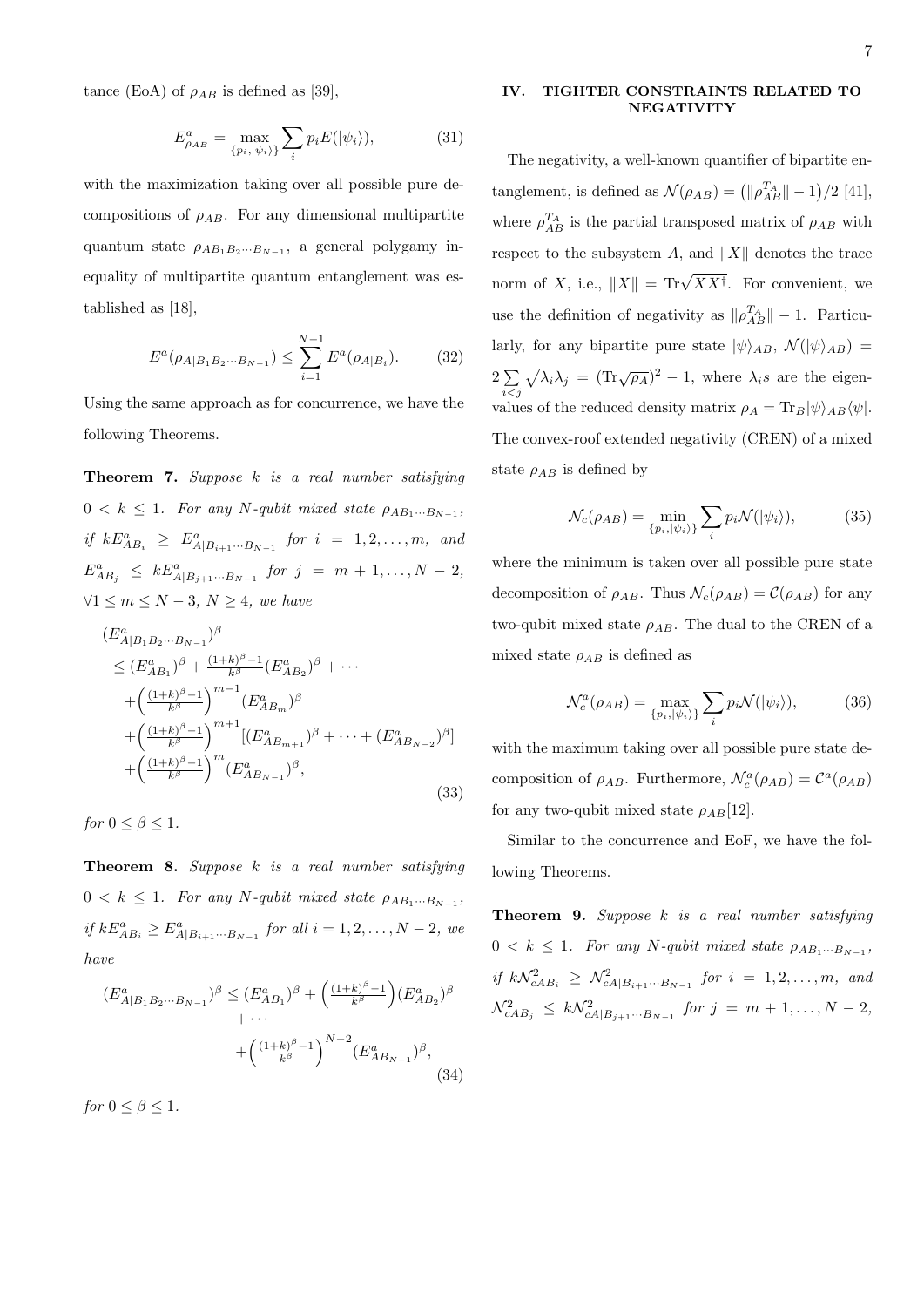tance (EoA) of  $\rho_{AB}$  is defined as [39],

$$
E_{\rho_{AB}}^a = \max_{\{p_i, |\psi_i\rangle\}} \sum_i p_i E(|\psi_i\rangle),\tag{31}
$$

with the maximization taking over all possible pure decompositions of *ρAB*. For any dimensional multipartite quantum state *ρAB*1*B*2*···BN−*<sup>1</sup> , a general polygamy inequality of multipartite quantum entanglement was established as [18],

$$
E^{a}(\rho_{A|B_{1}B_{2}\cdots B_{N-1}}) \leq \sum_{i=1}^{N-1} E^{a}(\rho_{A|B_{i}}). \tag{32}
$$

Using the same approach as for concurrence, we have the following Theorems.

**Theorem 7.** *Suppose k is a real number satisfying*  $0 < k \leq 1$ *. For any*  $N$ -qubit mixed state  $\rho_{AB_1\cdots B_{N-1}}$ , *if*  $kE_{AB_i}^a \geq E_{A|B_{i+1}\cdots B_{N-1}}^a$  *for*  $i = 1, 2, \ldots, m$ *, and*  $E_{AB_j}^a \leq kE_{A|B_{j+1}\cdots B_{N-1}}^a$  *for*  $j = m+1,\ldots,N-2$ , *∀*1 *≤ m ≤ N −* 3*, N ≥* 4*, we have*

$$
(E_{A|B_1B_2\cdots B_{N-1}}^a)^\beta
$$
  
\n
$$
\leq (E_{AB_1}^a)^\beta + \frac{(1+k)^\beta - 1}{k^\beta} (E_{AB_2}^a)^\beta + \cdots
$$
  
\n
$$
+ \left(\frac{(1+k)^\beta - 1}{k^\beta}\right)^{m-1} (E_{AB_m}^a)^\beta
$$
  
\n
$$
+ \left(\frac{(1+k)^\beta - 1}{k^\beta}\right)^{m+1} [(E_{AB_{m+1}}^a)^\beta + \cdots + (E_{AB_{N-2}}^a)^\beta]
$$
  
\n
$$
+ \left(\frac{(1+k)^\beta - 1}{k^\beta}\right)^m (E_{AB_{N-1}}^a)^\beta,
$$
\n(33)

*for*  $0 \leq \beta \leq 1$ *.* 

**Theorem 8.** *Suppose k is a real number satisfying*  $0 < k \leq 1$ *. For any*  $N$ -qubit mixed state  $\rho_{AB_1\cdots B_{N-1}}$ , *if*  $kE_{AB_i}^a$  ≥  $E_{A|B_{i+1}\cdots B_{N-1}}^a$  *for all*  $i = 1, 2, ..., N-2$ *, we have*

$$
(E_{A|B_1B_2\cdots B_{N-1}}^a)^{\beta} \le (E_{AB_1}^a)^{\beta} + \left(\frac{(1+k)^{\beta}-1}{k^{\beta}}\right)(E_{AB_2}^a)^{\beta} + \cdots + \left(\frac{(1+k)^{\beta}-1}{k^{\beta}}\right)^{N-2}(E_{AB_{N-1}}^a)^{\beta},
$$
\n(34)

*for*  $0 \leq \beta \leq 1$ *.* 

# **IV. TIGHTER CONSTRAINTS RELATED TO NEGATIVITY**

The negativity, a well-known quantifier of bipartite entanglement, is defined as  $\mathcal{N}(\rho_{AB}) = (\|\rho_{AB}^{T_A}\| - 1)/2$  [41], where  $\rho_{AB}^{T_A}$  is the partial transposed matrix of  $\rho_{AB}$  with respect to the subsystem *A*, and *∥X∥* denotes the trace norm of *X*, i.e.,  $||X|| = \text{Tr}\sqrt{XX^{\dagger}}$ . For convenient, we use the definition of negativity as  $||\rho_{AB}^{T_A}|| - 1$ . Particularly, for any bipartite pure state  $|\psi\rangle_{AB}$ ,  $\mathcal{N}(|\psi\rangle_{AB})$  = 2 ∑ *i<j*  $\sqrt{\lambda_i \lambda_j}$  =  $(\text{Tr}\sqrt{\rho_A})^2 - 1$ , where  $\lambda_i s$  are the eigenvalues of the reduced density matrix  $\rho_A = \text{Tr}_B |\psi\rangle_{AB} \langle \psi|$ . The convex-roof extended negativity (CREN) of a mixed state  $\rho_{AB}$  is defined by

$$
\mathcal{N}_c(\rho_{AB}) = \min_{\{p_i, |\psi_i\rangle\}} \sum_i p_i \mathcal{N}(|\psi_i\rangle),\tag{35}
$$

where the minimum is taken over all possible pure state decomposition of  $\rho_{AB}$ . Thus  $\mathcal{N}_c(\rho_{AB}) = \mathcal{C}(\rho_{AB})$  for any two-qubit mixed state  $\rho_{AB}$ . The dual to the CREN of a mixed state  $\rho_{AB}$  is defined as

$$
\mathcal{N}_c^a(\rho_{AB}) = \max_{\{p_i, |\psi_i\rangle\}} \sum_i p_i \mathcal{N}(|\psi_i\rangle),\tag{36}
$$

with the maximum taking over all possible pure state decomposition of  $\rho_{AB}$ . Furthermore,  $\mathcal{N}_c^a(\rho_{AB}) = \mathcal{C}^a(\rho_{AB})$ for any two-qubit mixed state  $\rho_{AB}[12]$ .

Similar to the concurrence and EoF, we have the following Theorems.

**Theorem 9.** *Suppose k is a real number satisfying*  $0 < k \leq 1$ *. For any*  $N$ -qubit mixed state  $\rho_{AB_1\cdots B_{N-1}}$ ,  $if k\mathcal{N}_{cAB_i}^2 \geq \mathcal{N}_{cA|B_{i+1}\cdots B_{N-1}}^2$  *for*  $i = 1, 2, \ldots, m$ *, and*  $\mathcal{N}_{cAB_j}^2 \leq k\mathcal{N}_{cA|B_{j+1}\cdots B_{N-1}}^2$  *for*  $j = m+1,\ldots,N-2$ ,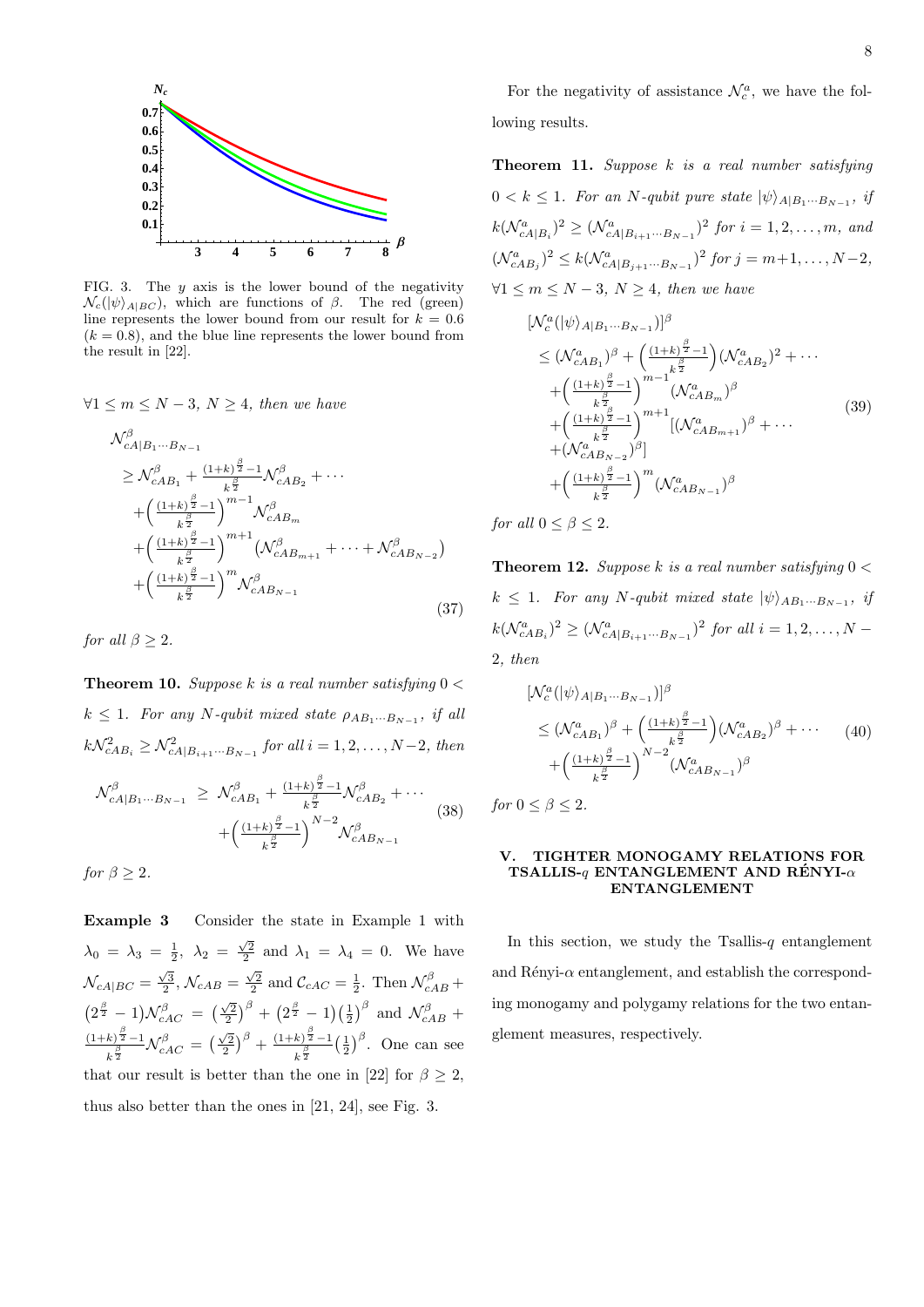

FIG. 3. The *y* axis is the lower bound of the negativity  $\mathcal{N}_c(|\psi\rangle_{A|BC})$ , which are functions of  $\beta$ . The red (green) line represents the lower bound from our result for  $k = 0.6$  $(k = 0.8)$ , and the blue line represents the lower bound from the result in [22].

$$
\forall 1 \le m \le N - 3, N \ge 4, \text{ then we have}
$$

$$
\mathcal{N}^{\beta}_{cA|B_{1}\cdots B_{N-1}}\n\geq \mathcal{N}^{\beta}_{cAB_{1}} + \frac{(1+k)^{\frac{\beta}{2}}-1}{k^{\frac{\beta}{2}}}\mathcal{N}^{\beta}_{cAB_{2}} + \cdots \n+ \left(\frac{(1+k)^{\frac{\beta}{2}}-1}{k^{\frac{\beta}{2}}}\right)^{m-1}\mathcal{N}^{\beta}_{cAB_{m}}\n+ \left(\frac{(1+k)^{\frac{\beta}{2}}-1}{k^{\frac{\beta}{2}}}\right)^{m+1}\left(\mathcal{N}^{\beta}_{cAB_{m+1}} + \cdots + \mathcal{N}^{\beta}_{cAB_{N-2}}\right)\n+ \left(\frac{(1+k)^{\frac{\beta}{2}}-1}{k^{\frac{\beta}{2}}}\right)^{m}\mathcal{N}^{\beta}_{cAB_{N-1}}
$$
\n(37)

*for all*  $\beta > 2$ *.* 

**Theorem 10.** *Suppose k is a real number satisfying* 0 *<*  $k \leq 1$ *. For any*  $N$ *-qubit mixed state*  $\rho_{AB_1\cdots B_{N-1}}$ *, if all*  $k\mathcal{N}_{cAB_i}^2 \geq \mathcal{N}_{cA|B_{i+1}\cdots B_{N-1}}^2$  *for all*  $i = 1, 2, ..., N-2$ *, then* 

$$
\mathcal{N}_{cA|B_1\cdots B_{N-1}}^{\beta} \geq \mathcal{N}_{cAB_1}^{\beta} + \frac{(1+k)^{\frac{\beta}{2}}-1}{k^{\frac{\beta}{2}}}\mathcal{N}_{cAB_2}^{\beta} + \cdots
$$
\n
$$
+ \left(\frac{(1+k)^{\frac{\beta}{2}}-1}{k^{\frac{\beta}{2}}}\right)^{N-2} \mathcal{N}_{cAB_{N-1}}^{\beta}
$$
\n(38)

*for*  $\beta \geq 2$ *.* 

**Example 3** Consider the state in Example 1 with  $\lambda_0 = \lambda_3 = \frac{1}{2}, \lambda_2 = \frac{\sqrt{2}}{2}$  and  $\lambda_1 = \lambda_4 = 0$ . We have  $\mathcal{N}_{cA|BC} = \frac{\sqrt{3}}{2}, \mathcal{N}_{cAB} = \frac{\sqrt{2}}{2}$  and  $\mathcal{C}_{cAC} = \frac{1}{2}$ . Then  $\mathcal{N}_{cAB}^{\beta}$  +  $(2^{\frac{\beta}{2}} - 1)N_{cAC}^{\beta} = (\frac{\sqrt{2}}{2})^{\beta} + (2^{\frac{\beta}{2}} - 1)(\frac{1}{2})^{\beta}$  and  $\mathcal{N}_{cAB}^{\beta}$  +  $(1+k)^{\frac{\beta}{2}}-1$  $\frac{k}{\sqrt{\frac{\beta}{2}}}-1$  *N*<sup> $\beta$ </sup> *CAC* =  $\left(\frac{\sqrt{2}}{2}\right)^{\beta}+\frac{(1+k)^{\frac{\beta}{2}}-1}{k^{\frac{\beta}{2}}}$  $k^{\frac{\beta}{2}}$  $\left(\frac{1}{2}\right)^{\beta}$ . One can see that our result is better than the one in [22] for  $\beta \geq 2$ , thus also better than the ones in [21, 24], see Fig. 3.

For the negativity of assistance  $\mathcal{N}_c^a$ , we have the following results.

**Theorem 11.** *Suppose k is a real number satisfying*  $0 < k \leq 1$ *. For an N*-qubit pure state  $|\psi\rangle_{A|B_1\cdots B_{N-1}}$ , if  $k(\mathcal{N}_{cA|B_i}^a)^2 \geq (\mathcal{N}_{cA|B_{i+1}\cdots B_{N-1}}^a)^2$  for  $i = 1, 2, \ldots, m$ , and  $(\mathcal{N}_{cAB_j}^a)^2 \leq k(\mathcal{N}_{cA|B_{j+1}\cdots B_{N-1}}^a)^2$  for  $j = m+1, \ldots, N-2$ , *∀*1 *≤ m ≤ N −* 3*, N ≥* 4*, then we have*

$$
\begin{split} &\left[\mathcal{N}_{c}^{a}(|\psi\rangle_{A|B_{1}\cdots B_{N-1}})\right]^{\beta} \\ &\leq (\mathcal{N}_{cAB_{1}}^{a})^{\beta} + \left(\frac{(1+k)^{\frac{\beta}{2}}-1}{k^{\frac{\beta}{2}}}\right)(\mathcal{N}_{cAB_{2}}^{a})^{2} + \cdots \\ &\quad + \left(\frac{(1+k)^{\frac{\beta}{2}}-1}{k^{\frac{\beta}{2}}}\right)^{m-1}(\mathcal{N}_{cAB_{m}}^{a})^{\beta} \\ &\quad + \left(\frac{(1+k)^{\frac{\beta}{2}}-1}{k^{\frac{\beta}{2}}}\right)^{m+1}\left[(\mathcal{N}_{cAB_{m+1}}^{a})^{\beta} + \cdots \\ &\quad + (\mathcal{N}_{cAB_{N-2}}^{a})^{\beta}\right] \\ &\quad + \left(\frac{(1+k)^{\frac{\beta}{2}}-1}{k^{\frac{\beta}{2}}}\right)^{m}(\mathcal{N}_{cAB_{N-1}}^{a})^{\beta} \end{split} \tag{39}
$$

*for all*  $0 < \beta < 2$ *.* 

**Theorem 12.** *Suppose k is a real number satisfying* 0 *<*  $k \leq 1$ *. For any N-qubit mixed state*  $|\psi\rangle_{AB_1\cdots B_{N-1}}$ , *if*  $k(\mathcal{N}_{cAB_i}^a)^2 \geq (\mathcal{N}_{cA|B_{i+1}\cdots B_{N-1}}^a)^2$  *for all*  $i = 1, 2, ..., N-1$ 2*, then*

$$
[\mathcal{N}_c^a(|\psi\rangle_{A|B_1\cdots B_{N-1}})]^{\beta}
$$
  
\n
$$
\leq (\mathcal{N}_{cAB_1}^a)^{\beta} + \left(\frac{(1+k)^{\frac{\beta}{2}}-1}{k^{\frac{\beta}{2}}}\right)(\mathcal{N}_{cAB_2}^a)^{\beta} + \cdots
$$
 (40)  
\n
$$
+ \left(\frac{(1+k)^{\frac{\beta}{2}}-1}{k^{\frac{\beta}{2}}}\right)^{N-2}(\mathcal{N}_{cAB_{N-1}}^a)^{\beta}
$$

*for*  $0 \leq \beta \leq 2$ *.* 

### **V. TIGHTER MONOGAMY RELATIONS FOR TSALLIS-** $q$  **ENTANGLEMENT AND RÉNYI-** $\alpha$ **ENTANGLEMENT**

In this section, we study the Tsallis- $q$  entanglement and  $\hat{R}$ enyi- $\alpha$  entanglement, and establish the corresponding monogamy and polygamy relations for the two entanglement measures, respectively.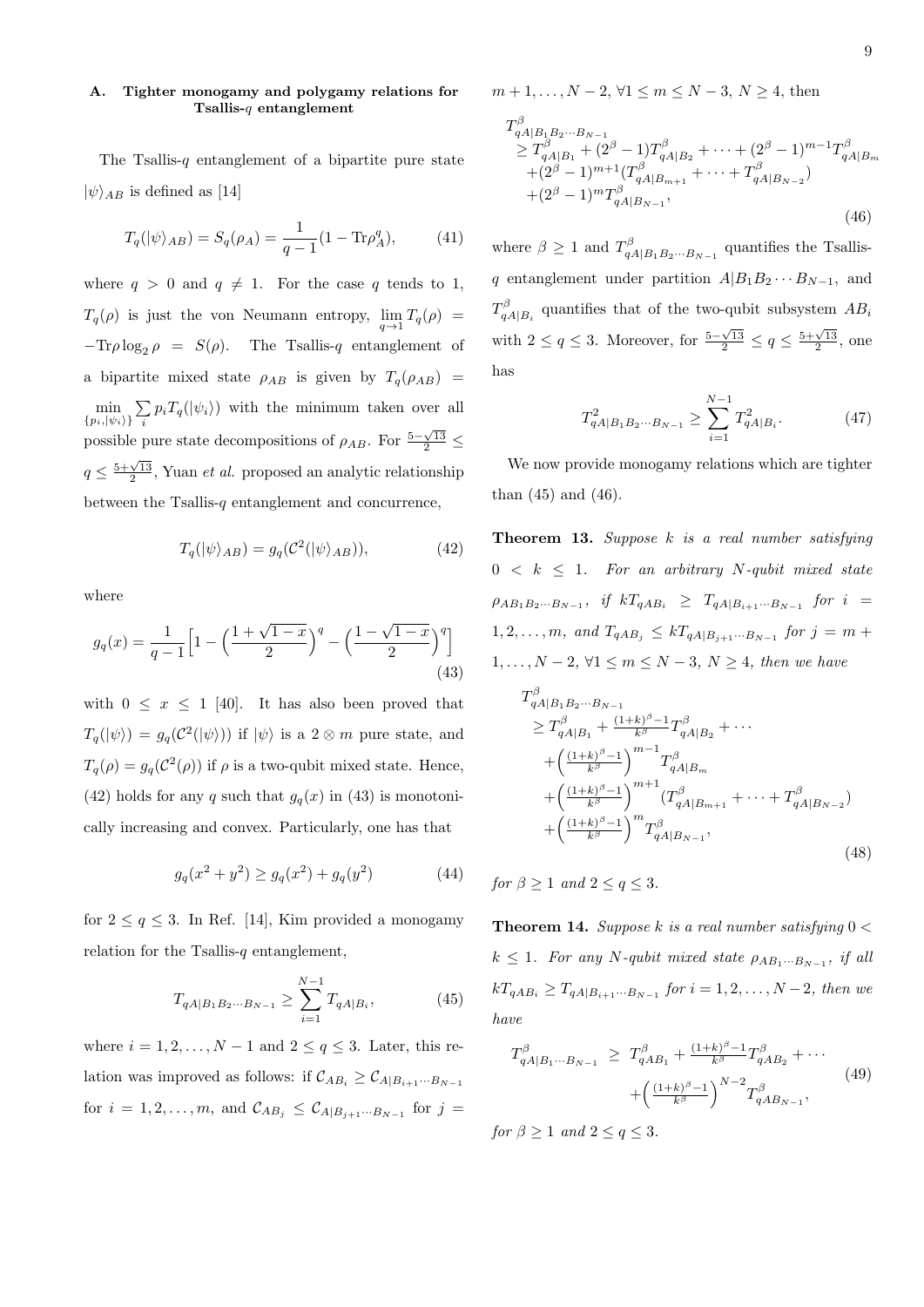# **A. Tighter monogamy and polygamy relations for Tsallis-***q* **entanglement**

The Tsallis-*q* entanglement of a bipartite pure state  $|\psi\rangle_{AB}$  is defined as [14]

$$
T_q(|\psi\rangle_{AB}) = S_q(\rho_A) = \frac{1}{q-1}(1 - \text{Tr}\rho_A^q), \quad (41)
$$

where  $q > 0$  and  $q \neq 1$ . For the case q tends to 1,  $T_q(\rho)$  is just the von Neumann entropy,  $\lim_{q \to 1} T_q(\rho) =$  $-\text{Tr}\rho \log_2 \rho = S(\rho)$ . The Tsallis-*q* entanglement of a bipartite mixed state  $\rho_{AB}$  is given by  $T_q(\rho_{AB})$  =  $\min_{\{p_i, |\psi_i\rangle\}}$ ∑  $\sum_{i} p_i T_q(|\psi_i\rangle)$  with the minimum taken over all possible pure state decompositions of  $\rho_{AB}$ . For  $\frac{5-\sqrt{13}}{2}$  ≤  $q \leq \frac{5+\sqrt{13}}{2}$ , Yuan *et al.* proposed an analytic relationship between the Tsallis-*q* entanglement and concurrence,

$$
T_q(|\psi\rangle_{AB}) = g_q(\mathcal{C}^2(|\psi\rangle_{AB})),\tag{42}
$$

where

$$
g_q(x) = \frac{1}{q-1} \left[ 1 - \left( \frac{1+\sqrt{1-x}}{2} \right)^q - \left( \frac{1-\sqrt{1-x}}{2} \right)^q \right]
$$
\n(43)

with  $0 \leq x \leq 1$  [40]. It has also been proved that  $T_q(|\psi\rangle) = g_q(\mathcal{C}^2(|\psi\rangle))$  if  $|\psi\rangle$  is a 2  $\otimes$  *m* pure state, and  $T_q(\rho) = g_q(\mathcal{C}^2(\rho))$  if  $\rho$  is a two-qubit mixed state. Hence, (42) holds for any *q* such that  $g_q(x)$  in (43) is monotonically increasing and convex. Particularly, one has that

$$
g_q(x^2 + y^2) \ge g_q(x^2) + g_q(y^2)
$$
 (44)

for  $2 \leq q \leq 3$ . In Ref. [14], Kim provided a monogamy relation for the Tsallis-*q* entanglement,

$$
T_{qA|B_1B_2\cdots B_{N-1}} \ge \sum_{i=1}^{N-1} T_{qA|B_i},
$$
\n(45)

where  $i = 1, 2, \ldots, N - 1$  and  $2 \leq q \leq 3$ . Later, this relation was improved as follows: if  $C_{AB_i} \geq C_{A|B_{i+1}\cdots B_{N-1}}$ for  $i = 1, 2, ..., m$ , and  $C_{AB_j} \le C_{A|B_{j+1}...B_{N-1}}$  for  $j =$  *m* + 1, . . . , *N* − 2,  $\forall$ 1 ≤ *m* ≤ *N* − 3, *N* ≥ 4, then

$$
T^{\beta}_{qA|B_1B_2\cdots B_{N-1}}\n\geq T^{\beta}_{qA|B_1} + (2^{\beta} - 1)T^{\beta}_{qA|B_2} + \cdots + (2^{\beta} - 1)^{m-1}T^{\beta}_{qA|B_m}\n+ (2^{\beta} - 1)^{m+1}(T^{\beta}_{qA|B_{m+1}} + \cdots + T^{\beta}_{qA|B_{N-2}})\n+ (2^{\beta} - 1)^{m}T^{\beta}_{qA|B_{N-1}},
$$
\n(46)

where  $\beta \geq 1$  and  $T^{\beta}_{q}$ .  $qA|B_1B_2\cdots B_{N-1}$  quantifies the Tsallis*q* entanglement under partition  $A|B_1B_2\cdots B_{N-1}$ , and  $T_a^\beta$  $q_{A|B_i}^{D}$  quantifies that of the two-qubit subsystem  $AB_i$ with  $2 \le q \le 3$ . Moreover, for  $\frac{5-\sqrt{13}}{2} \le q \le \frac{5+\sqrt{13}}{2}$ , one has

$$
T_{qA|B_1B_2\cdots B_{N-1}}^2 \ge \sum_{i=1}^{N-1} T_{qA|B_i}^2.
$$
 (47)

We now provide monogamy relations which are tighter than  $(45)$  and  $(46)$ .

**Theorem 13.** *Suppose k is a real number satisfying* 0 *< k ≤* 1*. For an arbitrary N-qubit mixed state*  $\rho_{AB_1B_2\cdots B_{N-1}}$ , if  $kT_{qAB_i} \geq T_{qA|B_{i+1}\cdots B_{N-1}}$  for  $i =$  $1, 2, \ldots, m$ , and  $T_{qAB_j} \leq kT_{qA|B_{j+1}\cdots B_{N-1}}$  for  $j = m + 1$ 1*, . . . , N −* 2*, ∀*1 *≤ m ≤ N −* 3*, N ≥* 4*, then we have*

$$
T_{qA|B_1B_2\cdots B_{N-1}}^{\beta}
$$
  
\n
$$
\geq T_{qA|B_1}^{\beta} + \frac{(1+k)^{\beta}-1}{k^{\beta}} T_{qA|B_2}^{\beta} + \cdots
$$
  
\n
$$
+ \left(\frac{(1+k)^{\beta}-1}{k^{\beta}}\right)^{m-1} T_{qA|B_m}^{\beta}
$$
  
\n
$$
+ \left(\frac{(1+k)^{\beta}-1}{k^{\beta}}\right)^{m+1} (T_{qA|B_{m+1}}^{\beta} + \cdots + T_{qA|B_{N-2}}^{\beta})
$$
  
\n
$$
+ \left(\frac{(1+k)^{\beta}-1}{k^{\beta}}\right)^{m} T_{qA|B_{N-1}}^{\beta},
$$
\n(48)

*for*  $\beta > 1$  *and*  $2 \leq q \leq 3$ *.* 

**Theorem 14.** *Suppose k is a real number satisfying* 0 *<*  $k \leq 1$ *. For any*  $N$ *-qubit mixed state*  $\rho_{AB_1\cdots B_{N-1}}$ , *if all k*T<sub>*qAB*<sup>*i*</sup></sub>  $\geq$   $T_{qA|B_{i+1}\cdots B_{N-1}}$  *for*  $i = 1, 2, \ldots, N-2$ *, then we have*

$$
T_{qA|B_1\cdots B_{N-1}}^{\beta} \ge T_{qAB_1}^{\beta} + \frac{(1+k)^{\beta}-1}{k^{\beta}} T_{qAB_2}^{\beta} + \cdots
$$
  
+ 
$$
\left(\frac{(1+k)^{\beta}-1}{k^{\beta}}\right)^{N-2} T_{qAB_{N-1}}^{\beta},
$$
 (49)

*for*  $\beta > 1$  *and*  $2 < q < 3$ *.*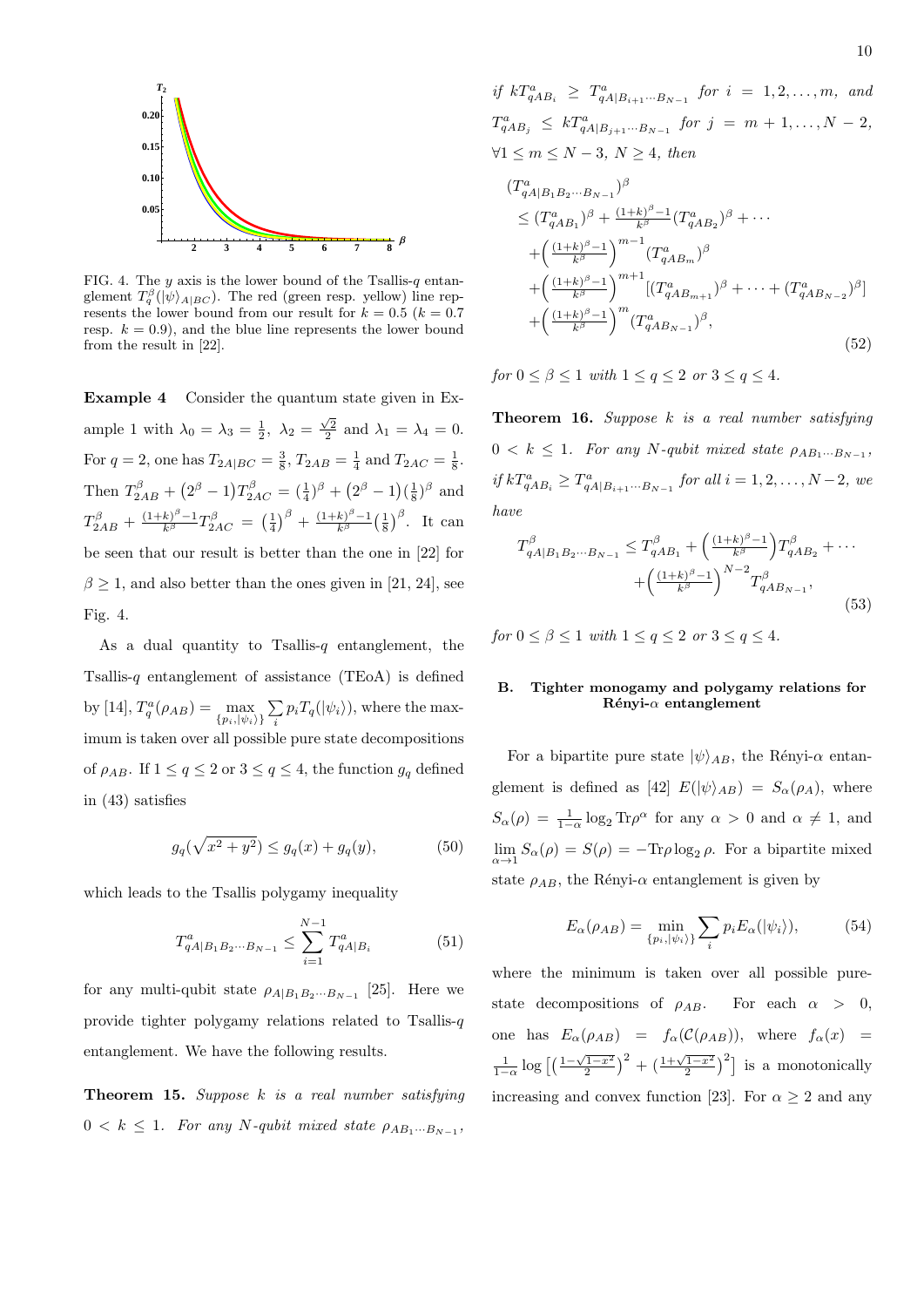

FIG. 4. The *y* axis is the lower bound of the Tsallis-*q* entanglement  $T_q^{\beta}(|\psi\rangle_{A|BC})$ . The red (green resp. yellow) line represents the lower bound from our result for  $k = 0.5$  ( $k = 0.7$ ) resp.  $k = 0.9$ , and the blue line represents the lower bound from the result in [22].

**Example 4** Consider the quantum state given in Example 1 with  $\lambda_0 = \lambda_3 = \frac{1}{2}$ ,  $\lambda_2 = \frac{\sqrt{2}}{2}$  and  $\lambda_1 = \lambda_4 = 0$ . For  $q = 2$ , one has  $T_{2A|BC} = \frac{3}{8}$ ,  $T_{2AB} = \frac{1}{4}$  and  $T_{2AC} = \frac{1}{8}$ . Then  $T_{2AB}^{\beta} + (2^{\beta} - 1)T_{2AC}^{\beta} = (\frac{1}{4})^{\beta} + (2^{\beta} - 1)(\frac{1}{8})^{\beta}$  and  $T_{2AB}^{\beta} + \frac{(1+k)^{\beta}-1}{k^{\beta}}T_{2AC}^{\beta} = \left(\frac{1}{4}\right)^{\beta} + \frac{(1+k)^{\beta}-1}{k^{\beta}}$  $\frac{k\beta^{\beta}-1}{k^{\beta}}\left(\frac{1}{8}\right)^{\beta}$ . It can be seen that our result is better than the one in [22] for  $\beta \geq 1$ , and also better than the ones given in [21, 24], see Fig. 4.

As a dual quantity to Tsallis-*q* entanglement, the Tsallis-*q* entanglement of assistance (TEoA) is defined by [14],  $T_q^a(\rho_{AB}) = \max_{\{p_i, |\psi_i\rangle\}}$ ∑  $\sum_{i} p_i T_q(|\psi_i\rangle)$ , where the maximum is taken over all possible pure state decompositions of  $\rho_{AB}$ . If  $1 \le q \le 2$  or  $3 \le q \le 4$ , the function  $g_q$  defined in (43) satisfies

$$
g_q(\sqrt{x^2 + y^2}) \le g_q(x) + g_q(y),\tag{50}
$$

which leads to the Tsallis polygamy inequality

$$
T_{qA|B_1B_2\cdots B_{N-1}}^a \le \sum_{i=1}^{N-1} T_{qA|B_i}^a \tag{51}
$$

for any multi-qubit state  $\rho_{A|B_1B_2\cdots B_{N-1}}$  [25]. Here we provide tighter polygamy relations related to Tsallis-*q* entanglement. We have the following results.

**Theorem 15.** *Suppose k is a real number satisfying*  $0 < k \leq 1$ *. For any*  $N$ -qubit mixed state  $\rho_{AB_1\cdots B_{N-1}}$ ,

*if*  $kT_{qAB_i}^a \geq T_{qA|B_{i+1}\cdots B_{N-1}}^a$  *for*  $i = 1, 2, \ldots, m$ *, and*  $T_{qAB_j}^a \leq kT_{qA|B_{j+1}\cdots B_{N-1}}^a$  *for*  $j = m+1,\ldots,N-2$ , *∀*1 *≤ m ≤ N −* 3*, N ≥* 4*, then*

$$
(T_{qA|B_1B_2\cdots B_{N-1}}^a)^\beta
$$
  
\n
$$
\leq (T_{qAB_1}^a)^\beta + \frac{(1+k)^\beta - 1}{k^\beta} (T_{qAB_2}^a)^\beta + \cdots
$$
  
\n
$$
+ \left(\frac{(1+k)^\beta - 1}{k^\beta}\right)^{m-1} (T_{qAB_m}^a)^\beta
$$
  
\n
$$
+ \left(\frac{(1+k)^\beta - 1}{k^\beta}\right)^{m+1} [(T_{qAB_{m+1}}^a)^\beta + \cdots + (T_{qAB_{N-2}}^a)^\beta]
$$
  
\n
$$
+ \left(\frac{(1+k)^\beta - 1}{k^\beta}\right)^m (T_{qAB_{N-1}}^a)^\beta,
$$
  
\n(52)

*for*  $0 \le \beta \le 1$  *with*  $1 \le q \le 2$  *or*  $3 \le q \le 4$ *.* 

**Theorem 16.** *Suppose k is a real number satisfying*  $0 < k \leq 1$ *. For any*  $N$ -qubit mixed state  $\rho_{AB_1\cdots B_{N-1}}$ , *if*  $kT_{qAB_i}^a \geq T_{qA|B_{i+1}\cdots B_{N-1}}^a$  *for all*  $i = 1, 2, \ldots, N-2$ *, we have*

$$
T_{qA|B_1B_2\cdots B_{N-1}}^{\beta} \le T_{qAB_1}^{\beta} + \left(\frac{(1+k)^{\beta}-1}{k^{\beta}}\right) T_{qAB_2}^{\beta} + \cdots + \left(\frac{(1+k)^{\beta}-1}{k^{\beta}}\right)^{N-2} T_{qAB_{N-1}}^{\beta},
$$
\n(53)

*for*  $0 \le \beta \le 1$  *with*  $1 \le q \le 2$  *or*  $3 \le q \le 4$ *.* 

# **B. Tighter monogamy and polygamy relations for R´enyi-***α* **entanglement**

For a bipartite pure state  $|\psi\rangle_{AB}$ , the Rényi- $\alpha$  entanglement is defined as [42]  $E(|\psi\rangle_{AB}) = S_{\alpha}(\rho_A)$ , where  $S_{\alpha}(\rho) = \frac{1}{1-\alpha} \log_2 \text{Tr} \rho^{\alpha}$  for any  $\alpha > 0$  and  $\alpha \neq 1$ , and  $\lim_{\alpha \to 1} S_{\alpha}(\rho) = S(\rho) = -\text{Tr}\rho \log_2 \rho$ . For a bipartite mixed state  $\rho_{AB}$ , the Rényi- $\alpha$  entanglement is given by

$$
E_{\alpha}(\rho_{AB}) = \min_{\{p_i, |\psi_i\rangle\}} \sum_{i} p_i E_{\alpha}(|\psi_i\rangle), \tag{54}
$$

where the minimum is taken over all possible purestate decompositions of  $\rho_{AB}$ . For each  $\alpha > 0$ , one has  $E_{\alpha}(\rho_{AB}) = f_{\alpha}(\mathcal{C}(\rho_{AB}))$ , where  $f_{\alpha}(x) =$  $\frac{1}{1-\alpha}\log\left[\left(\frac{1-\sqrt{1-x^2}}{2}\right)^2+\left(\frac{1+\sqrt{1-x^2}}{2}\right)^2\right]$  is a monotonically increasing and convex function [23]. For  $\alpha > 2$  and any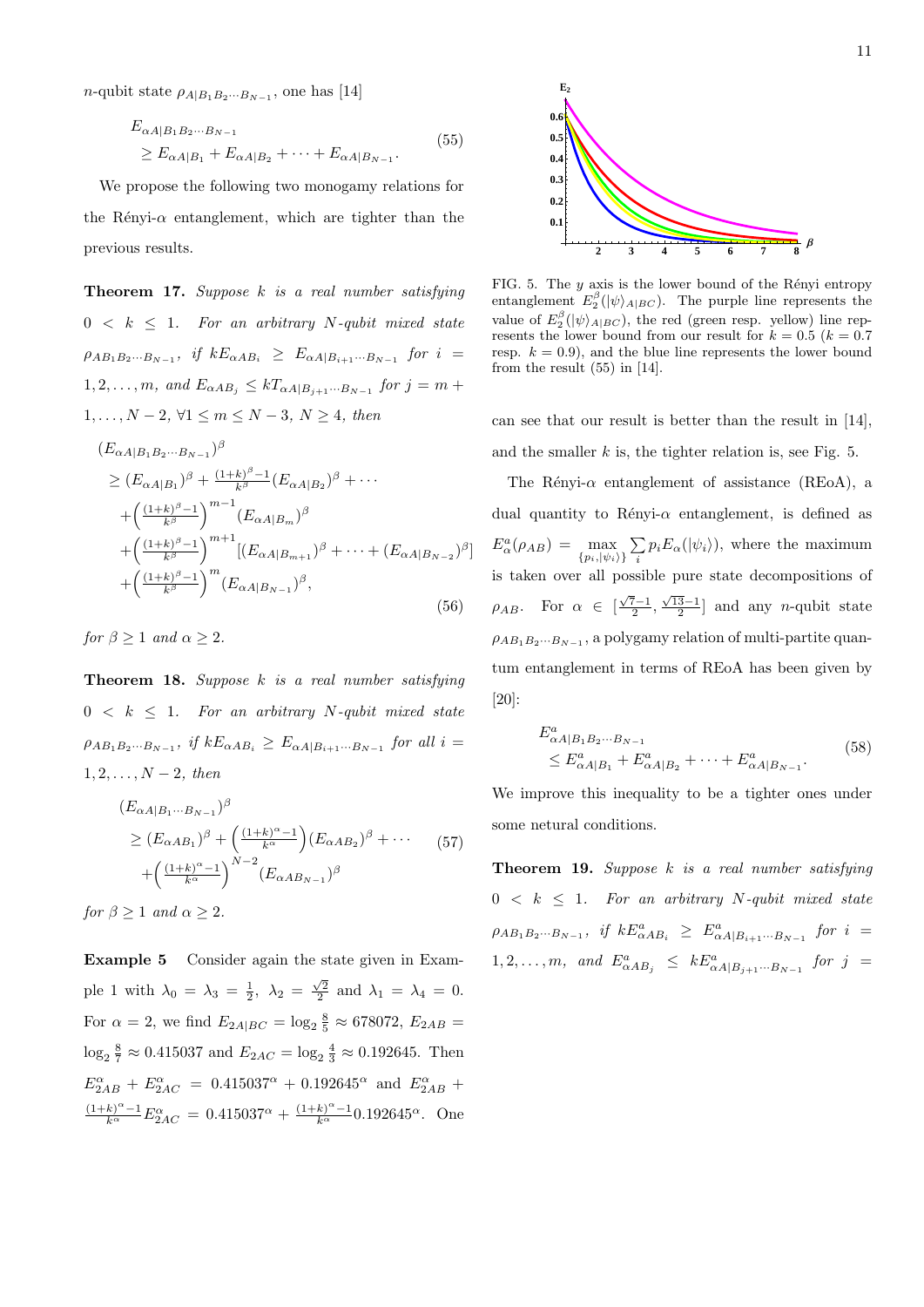*n*-qubit state  $\rho_{A|B_1B_2\cdots B_{N-1}}$ , one has [14]

$$
E_{\alpha A|B_1 B_2 \cdots B_{N-1}}\ge E_{\alpha A|B_1} + E_{\alpha A|B_2} + \cdots + E_{\alpha A|B_{N-1}}.
$$
\n(55)

We propose the following two monogamy relations for the Rényi- $\alpha$  entanglement, which are tighter than the previous results.

**Theorem 17.** *Suppose k is a real number satisfying*  $0 < k \leq 1$ *. For an arbitrary N-qubit mixed state*  $\rho_{AB_1B_2\cdots B_{N-1}}$ , if  $kE_{\alpha AB_i} \ge E_{\alpha A|B_{i+1}\cdots B_{N-1}}$  for  $i =$ 1, 2, . . . *, m,* and  $E_{\alpha AB_j} \le kT_{\alpha A|B_{j+1} \cdots B_{N-1}}$  for  $j = m +$ 1*, . . . , N −* 2*, ∀*1 *≤ m ≤ N −* 3*, N ≥* 4*, then*

$$
(E_{\alpha A|B_1 B_2 \cdots B_{N-1}})^{\beta}
$$
  
\n
$$
\geq (E_{\alpha A|B_1})^{\beta} + \frac{(1+k)^{\beta}-1}{k^{\beta}} (E_{\alpha A|B_2})^{\beta} + \cdots
$$
  
\n
$$
+ \left(\frac{(1+k)^{\beta}-1}{k^{\beta}}\right)^{m-1} (E_{\alpha A|B_m})^{\beta}
$$
  
\n
$$
+ \left(\frac{(1+k)^{\beta}-1}{k^{\beta}}\right)^{m+1} [(E_{\alpha A|B_{m+1}})^{\beta} + \cdots + (E_{\alpha A|B_{N-2}})^{\beta}]
$$
  
\n
$$
+ \left(\frac{(1+k)^{\beta}-1}{k^{\beta}}\right)^m (E_{\alpha A|B_{N-1}})^{\beta},
$$
\n(56)

*for*  $\beta \geq 1$  *and*  $\alpha \geq 2$ *.* 

**Theorem 18.** *Suppose k is a real number satisfying*  $0 < k \leq 1$ *. For an arbitrary N-qubit mixed state*  $\rho_{AB_1B_2\cdots B_{N-1}}$ , *if*  $kE_{\alpha AB_i} \ge E_{\alpha A|B_{i+1}\cdots B_{N-1}}$  for all  $i =$ 1*,* 2*, . . . , N −* 2*, then*

$$
(E_{\alpha A|B_1\cdots B_{N-1}})^\beta
$$
  
\n
$$
\ge (E_{\alpha AB_1})^\beta + \left(\frac{(1+k)^\alpha - 1}{k^\alpha}\right) (E_{\alpha AB_2})^\beta + \cdots
$$
 (57)  
\n
$$
+ \left(\frac{(1+k)^\alpha - 1}{k^\alpha}\right)^{N-2} (E_{\alpha AB_{N-1}})^\beta
$$

*for*  $\beta \geq 1$  *and*  $\alpha \geq 2$ *.* 

**Example 5** Consider again the state given in Example 1 with  $\lambda_0 = \lambda_3 = \frac{1}{2}$ ,  $\lambda_2 = \frac{\sqrt{2}}{2}$  and  $\lambda_1 = \lambda_4 = 0$ . For  $\alpha = 2$ , we find  $E_{2A|BC} = \log_2 \frac{8}{5} \approx 678072$ ,  $E_{2AB} =$  $\log_2 \frac{8}{7} \approx 0.415037$  and  $E_{2AC} = \log_2 \frac{4}{3} \approx 0.192645$ . Then  $E_{2AB}^{\alpha} + E_{2AC}^{\alpha} = 0.415037^{\alpha} + 0.192645^{\alpha}$  and  $E_{2AB}^{\alpha}$  $\frac{(1+k)^{\alpha}-1}{k^{\alpha}}E_{2AC}^{\alpha} = 0.415037^{\alpha} + \frac{(1+k)^{\alpha}-1}{k^{\alpha}}0.192645^{\alpha}$ . One



FIG. 5. The  $y$  axis is the lower bound of the Rényi entropy entanglement  $E_2^{\beta}(|\psi\rangle_{A|BC})$ . The purple line represents the value of  $E_2^{\beta}(|\psi\rangle_{A|BC})$ , the red (green resp. yellow) line represents the lower bound from our result for  $k = 0.5$  ( $k = 0.7$ ) resp.  $k = 0.9$ ), and the blue line represents the lower bound from the result (55) in [14].

can see that our result is better than the result in [14], and the smaller *k* is, the tighter relation is, see Fig. 5.

The Rényi- $\alpha$  entanglement of assistance (REoA), a dual quantity to Rényi- $\alpha$  entanglement, is defined as  $E^a_\alpha(\rho_{AB}) = \max_{\{p_i, |\psi_i\rangle\}}$ ∑  $\sum_{i} p_i E_{\alpha}(|\psi_i\rangle)$ , where the maximum is taken over all possible pure state decompositions of *ρ*<sub>*AB*</sub>. For  $\alpha \in \left[\frac{\sqrt{7}-1}{2}, \frac{\sqrt{13}-1}{2}\right]$  and any *n*-qubit state  $\rho_{AB_1B_2\cdots B_{N-1}}$ , a polygamy relation of multi-partite quantum entanglement in terms of REoA has been given by [20]:

$$
E^{a}_{\alpha A|B_1 B_2 \cdots B_{N-1}}\leq E^{a}_{\alpha A|B_1} + E^{a}_{\alpha A|B_2} + \cdots + E^{a}_{\alpha A|B_{N-1}}.
$$
\n(58)

We improve this inequality to be a tighter ones under some netural conditions.

**Theorem 19.** *Suppose k is a real number satisfying*  $0 < k \leq 1$ *. For an arbitrary N-qubit mixed state*  $\rho_{AB_1B_2\cdots B_{N-1}},$  if  $kE^a_{\alpha AB_i} \geq E^a_{\alpha A|B_{i+1}\cdots B_{N-1}}$  for  $i =$  $1, 2, \ldots, m$ , and  $E^a_{\alpha AB_j} \leq kE^a_{\alpha A|B_{j+1} \cdots B_{N-1}}$  for  $j =$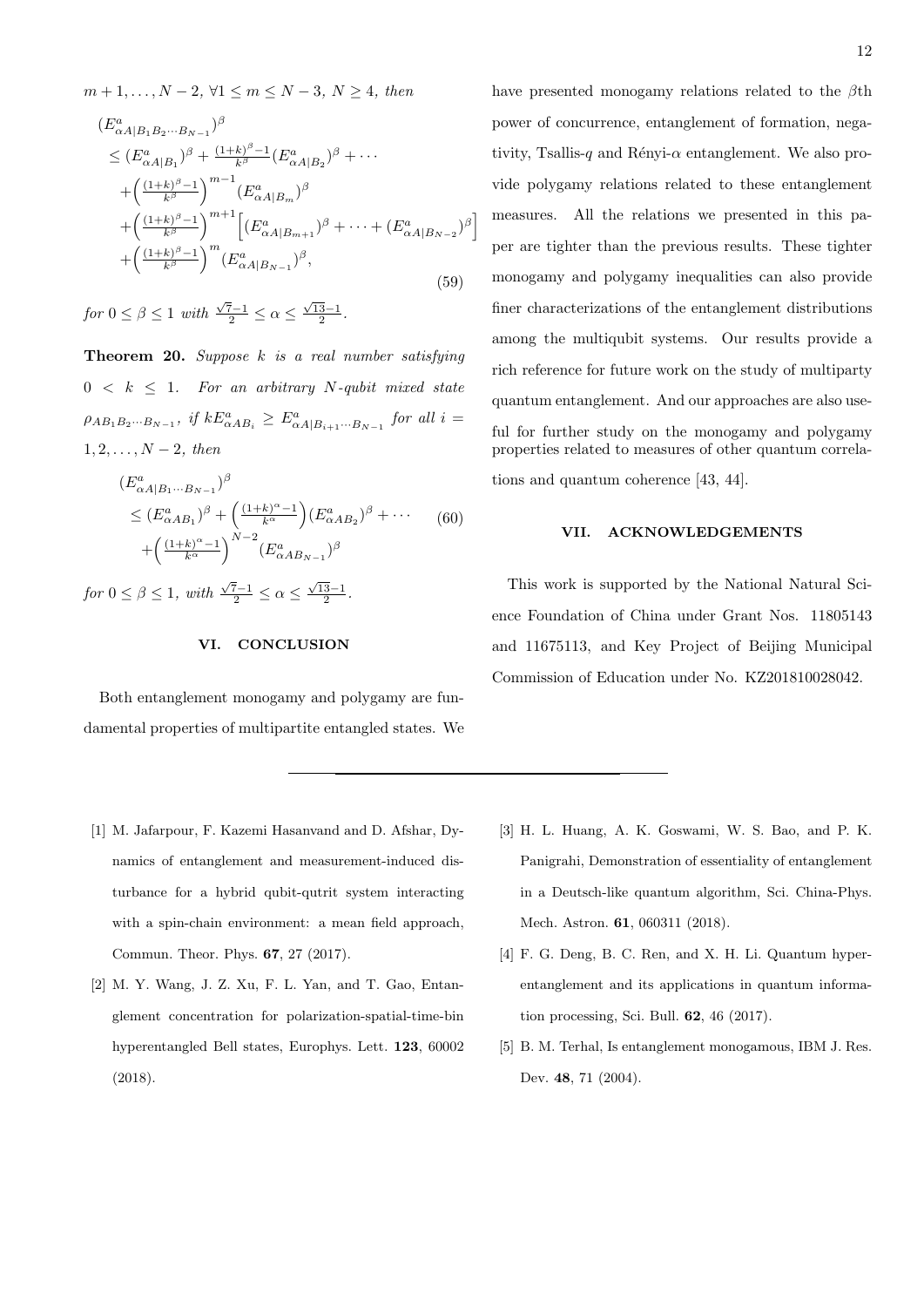$$
n+1,..., N-2, \forall 1 \leq m \leq N-3, N \geq 4, \text{ then}
$$
  
\n
$$
(E_{\alpha A|B_1 B_2 \cdots B_{N-1}}^a)^{\beta}
$$
  
\n
$$
\leq (E_{\alpha A|B_1}^a)^{\beta} + \frac{(1+k)^{\beta}-1}{k^{\beta}} (E_{\alpha A|B_2}^a)^{\beta} + \cdots
$$
  
\n
$$
+ \left(\frac{(1+k)^{\beta}-1}{k^{\beta}}\right)^{m-1} (E_{\alpha A|B_m}^a)^{\beta}
$$
  
\n
$$
+ \left(\frac{(1+k)^{\beta}-1}{k^{\beta}}\right)^{m+1} \left[ (E_{\alpha A|B_{m+1}}^a)^{\beta} + \cdots + (E_{\alpha A|B_{N-2}}^a)^{\beta} \right]
$$
  
\n
$$
+ \left(\frac{(1+k)^{\beta}-1}{k^{\beta}}\right)^m (E_{\alpha A|B_{N-1}}^a)^{\beta}, \tag{59}
$$

*for*  $0 \le \beta \le 1$  *with*  $\frac{\sqrt{7}-1}{2} \le \alpha \le \frac{\sqrt{13}-1}{2}$ .

**Theorem 20.** *Suppose k is a real number satisfying*  $0 \leq k \leq 1$ . For an arbitrary *N*-qubit mixed state  $\rho_{AB_1B_2\cdots B_{N-1}}, \text{ if } kE^a_{\alpha AB_i} \ge E^a_{\alpha A|B_{i+1}\cdots B_{N-1}} \text{ for all } i =$ 1*,* 2*, . . . , N −* 2*, then*

$$
(E^a_{\alpha A|B_1\cdots B_{N-1}})^\beta
$$
  
\n
$$
\leq (E^a_{\alpha AB_1})^\beta + \left(\frac{(1+k)^\alpha - 1}{k^\alpha}\right) (E^a_{\alpha AB_2})^\beta + \cdots
$$
  
\n
$$
+ \left(\frac{(1+k)^\alpha - 1}{k^\alpha}\right)^{N-2} (E^a_{\alpha AB_{N-1}})^\beta
$$

*for*  $0 \le \beta \le 1$ *, with*  $\frac{\sqrt{7}-1}{2} \le \alpha \le \frac{\sqrt{13}-1}{2}$ .

# **VI. CONCLUSION**

Both entanglement monogamy and polygamy are fundamental properties of multipartite entangled states. We have presented monogamy relations related to the *β*th power of concurrence, entanglement of formation, negativity, Tsallis-*q* and Rényi- $\alpha$  entanglement. We also provide polygamy relations related to these entanglement measures. All the relations we presented in this paper are tighter than the previous results. These tighter monogamy and polygamy inequalities can also provide finer characterizations of the entanglement distributions among the multiqubit systems. Our results provide a rich reference for future work on the study of multiparty quantum entanglement. And our approaches are also useful for further study on the monogamy and polygamy properties related to measures of other quantum correlations and quantum coherence [43, 44].

#### **VII. ACKNOWLEDGEMENTS**

This work is supported by the National Natural Science Foundation of China under Grant Nos. 11805143 and 11675113, and Key Project of Beijing Municipal Commission of Education under No. KZ201810028042.

- [1] M. Jafarpour, F. Kazemi Hasanvand and D. Afshar, Dynamics of entanglement and measurement-induced disturbance for a hybrid qubit-qutrit system interacting with a spin-chain environment: a mean field approach, Commun. Theor. Phys. **67**, 27 (2017).
- [2] M. Y. Wang, J. Z. Xu, F. L. Yan, and T. Gao, Entanglement concentration for polarization-spatial-time-bin hyperentangled Bell states, Europhys. Lett. **123**, 60002 (2018).
- [3] H. L. Huang, A. K. Goswami, W. S. Bao, and P. K. Panigrahi, Demonstration of essentiality of entanglement in a Deutsch-like quantum algorithm, Sci. China-Phys. Mech. Astron. **61**, 060311 (2018).
- [4] F. G. Deng, B. C. Ren, and X. H. Li. Quantum hyperentanglement and its applications in quantum information processing, Sci. Bull. **62**, 46 (2017).
- [5] B. M. Terhal, Is entanglement monogamous, IBM J. Res. Dev. **48**, 71 (2004).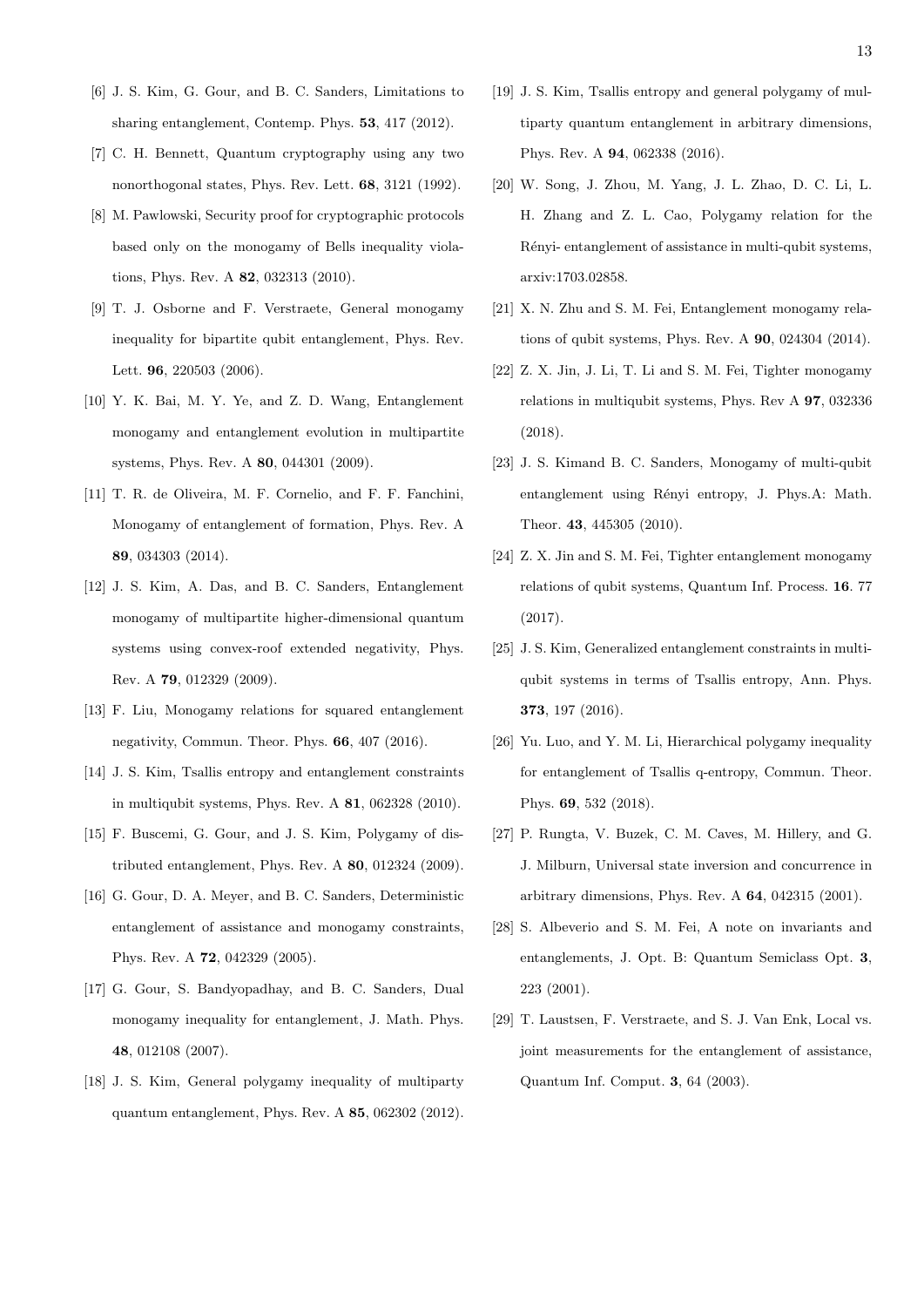- [6] J. S. Kim, G. Gour, and B. C. Sanders, Limitations to sharing entanglement, Contemp. Phys. **53**, 417 (2012).
- [7] C. H. Bennett, Quantum cryptography using any two nonorthogonal states, Phys. Rev. Lett. **68**, 3121 (1992).
- [8] M. Pawlowski, Security proof for cryptographic protocols based only on the monogamy of Bells inequality violations, Phys. Rev. A **82**, 032313 (2010).
- [9] T. J. Osborne and F. Verstraete, General monogamy inequality for bipartite qubit entanglement, Phys. Rev. Lett. **96**, 220503 (2006).
- [10] Y. K. Bai, M. Y. Ye, and Z. D. Wang, Entanglement monogamy and entanglement evolution in multipartite systems, Phys. Rev. A **80**, 044301 (2009).
- [11] T. R. de Oliveira, M. F. Cornelio, and F. F. Fanchini, Monogamy of entanglement of formation, Phys. Rev. A **89**, 034303 (2014).
- [12] J. S. Kim, A. Das, and B. C. Sanders, Entanglement monogamy of multipartite higher-dimensional quantum systems using convex-roof extended negativity, Phys. Rev. A **79**, 012329 (2009).
- [13] F. Liu, Monogamy relations for squared entanglement negativity, Commun. Theor. Phys. **66**, 407 (2016).
- [14] J. S. Kim, Tsallis entropy and entanglement constraints in multiqubit systems, Phys. Rev. A **81**, 062328 (2010).
- [15] F. Buscemi, G. Gour, and J. S. Kim, Polygamy of distributed entanglement, Phys. Rev. A **80**, 012324 (2009).
- [16] G. Gour, D. A. Meyer, and B. C. Sanders, Deterministic entanglement of assistance and monogamy constraints, Phys. Rev. A **72**, 042329 (2005).
- [17] G. Gour, S. Bandyopadhay, and B. C. Sanders, Dual monogamy inequality for entanglement, J. Math. Phys. **48**, 012108 (2007).
- [18] J. S. Kim, General polygamy inequality of multiparty quantum entanglement, Phys. Rev. A **85**, 062302 (2012).
- [19] J. S. Kim, Tsallis entropy and general polygamy of multiparty quantum entanglement in arbitrary dimensions, Phys. Rev. A **94**, 062338 (2016).
- [20] W. Song, J. Zhou, M. Yang, J. L. Zhao, D. C. Li, L. H. Zhang and Z. L. Cao, Polygamy relation for the Rényi- entanglement of assistance in multi-qubit systems, arxiv:1703.02858.
- [21] X. N. Zhu and S. M. Fei, Entanglement monogamy relations of qubit systems, Phys. Rev. A **90**, 024304 (2014).
- [22] Z. X. Jin, J. Li, T. Li and S. M. Fei, Tighter monogamy relations in multiqubit systems, Phys. Rev A **97**, 032336 (2018).
- [23] J. S. Kimand B. C. Sanders, Monogamy of multi-qubit entanglement using Rényi entropy, J. Phys.A: Math. Theor. **43**, 445305 (2010).
- [24] Z. X. Jin and S. M. Fei, Tighter entanglement monogamy relations of qubit systems, Quantum Inf. Process. **16**. 77 (2017).
- [25] J. S. Kim, Generalized entanglement constraints in multiqubit systems in terms of Tsallis entropy, Ann. Phys. **373**, 197 (2016).
- [26] Yu. Luo, and Y. M. Li, Hierarchical polygamy inequality for entanglement of Tsallis q-entropy, Commun. Theor. Phys. **69**, 532 (2018).
- [27] P. Rungta, V. Buzek, C. M. Caves, M. Hillery, and G. J. Milburn, Universal state inversion and concurrence in arbitrary dimensions, Phys. Rev. A **64**, 042315 (2001).
- [28] S. Albeverio and S. M. Fei, A note on invariants and entanglements, J. Opt. B: Quantum Semiclass Opt. **3**, 223 (2001).
- [29] T. Laustsen, F. Verstraete, and S. J. Van Enk, Local vs. joint measurements for the entanglement of assistance, Quantum Inf. Comput. **3**, 64 (2003).